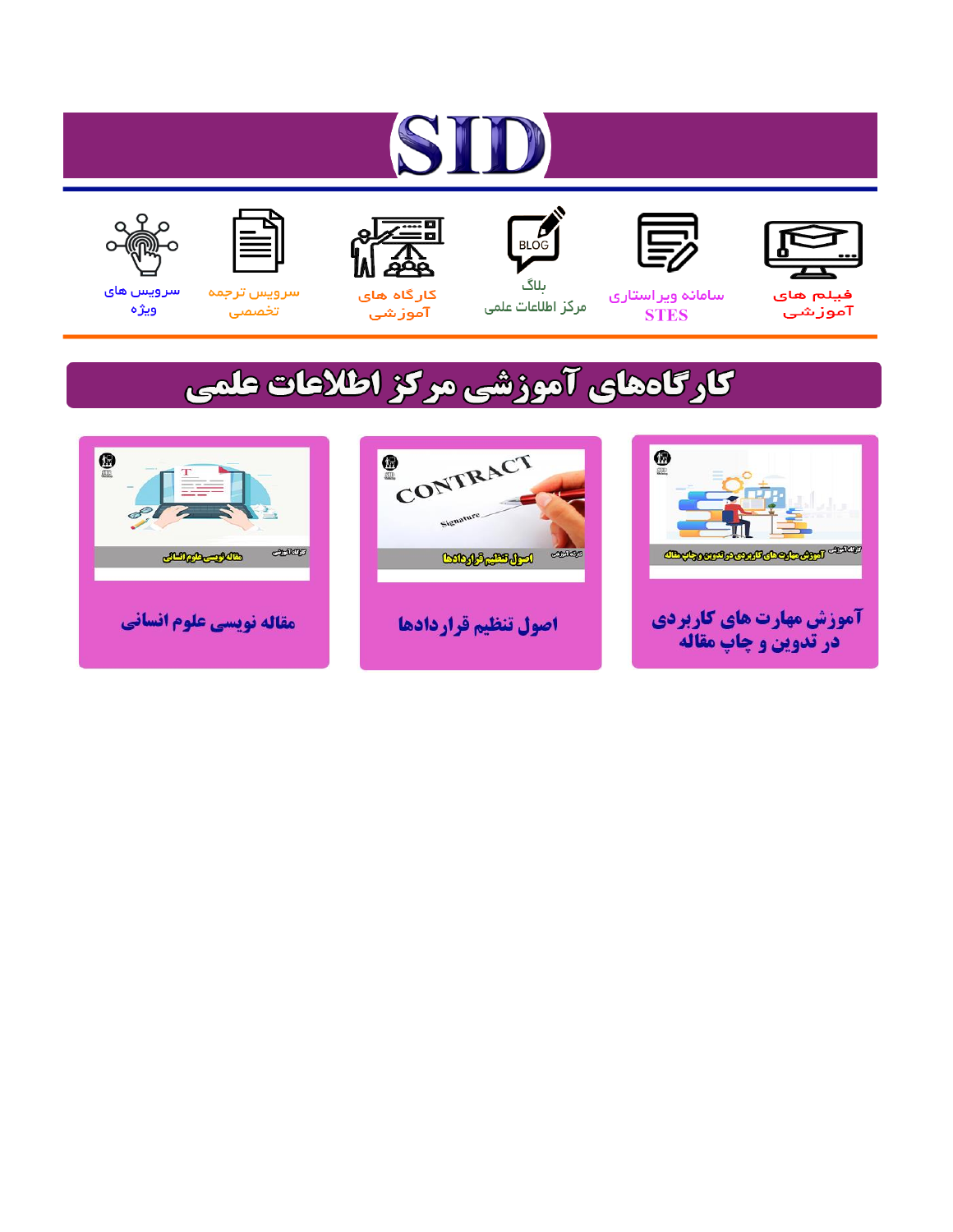# ST









### سامائه ويراستاري **STES**



ىلاگ مرکز اطلاعات علمی



ققق کارگاه های

آموزشي

空



تخصصى

سرویس های ويژه

## كارگاههای آموزشی مركز اطلاعات علمی





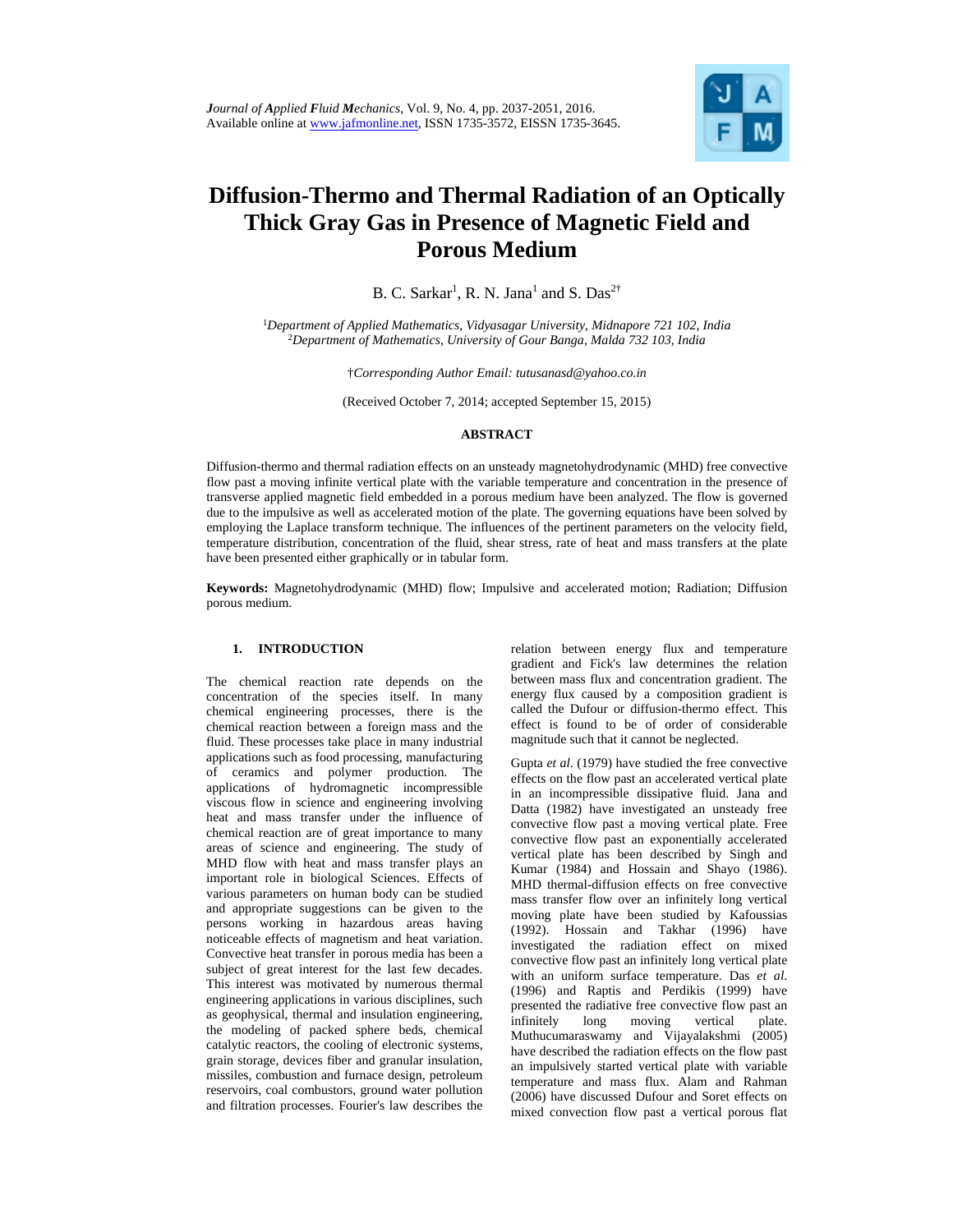

### **Diffusion-Thermo and Thermal Radiation of an Optically Thick Gray Gas in Presence of Magnetic Field and Porous Medium**

B. C. Sarkar<sup>1</sup>, R. N. Jana<sup>1</sup> and S. Das<sup>2†</sup>

<sup>1</sup>*Department of Applied Mathematics, Vidyasagar University, Midnapore 721 102, India* 2 *Department of Mathematics, University of Gour Banga, Malda 732 103, India* 

†*Corresponding Author Email: tutusanasd@yahoo.co.in* 

(Received October 7, 2014; accepted September 15, 2015)

#### **ABSTRACT**

<sup>1</sup>Corresponding Author Email: tutusanasd@yahoo.co.in<br>
(Received October 7, 2014; accepted September 15, 2015)<br>
ABSTRACT<br>
This ion-thermon and thermal radiation effects on an unsteady magnetohydrokyaam (MHD) free volumes<br> Diffusion-thermo and thermal radiation effects on an unsteady magnetohydrodynamic (MHD) free convective flow past a moving infinite vertical plate with the variable temperature and concentration in the presence of transverse applied magnetic field embedded in a porous medium have been analyzed. The flow is governed due to the impulsive as well as accelerated motion of the plate. The governing equations have been solved by employing the Laplace transform technique. The influences of the pertinent parameters on the velocity field, temperature distribution, concentration of the fluid, shear stress, rate of heat and mass transfers at the plate have been presented either graphically or in tabular form.

**Keywords:** Magnetohydrodynamic (MHD) flow; Impulsive and accelerated motion; Radiation; Diffusion porous medium.

#### **1. INTRODUCTION**

The chemical reaction rate depends on the concentration of the species itself. In many chemical engineering processes, there is the chemical reaction between a foreign mass and the fluid. These processes take place in many industrial applications such as food processing, manufacturing of ceramics and polymer production. The applications of hydromagnetic incompressible viscous flow in science and engineering involving heat and mass transfer under the influence of chemical reaction are of great importance to many areas of science and engineering. The study of MHD flow with heat and mass transfer plays an important role in biological Sciences. Effects of various parameters on human body can be studied and appropriate suggestions can be given to the persons working in hazardous areas having noticeable effects of magnetism and heat variation. Convective heat transfer in porous media has been a subject of great interest for the last few decades. This interest was motivated by numerous thermal engineering applications in various disciplines, such as geophysical, thermal and insulation engineering, the modeling of packed sphere beds, chemical catalytic reactors, the cooling of electronic systems, grain storage, devices fiber and granular insulation, missiles, combustion and furnace design, petroleum reservoirs, coal combustors, ground water pollution and filtration processes. Fourier's law describes the

relation between energy flux and temperature gradient and Fick's law determines the relation between mass flux and concentration gradient. The energy flux caused by a composition gradient is called the Dufour or diffusion-thermo effect. This effect is found to be of order of considerable magnitude such that it cannot be neglected.

Gupta *et al*. (1979) have studied the free convective effects on the flow past an accelerated vertical plate in an incompressible dissipative fluid. Jana and Datta (1982) have investigated an unsteady free convective flow past a moving vertical plate. Free convective flow past an exponentially accelerated vertical plate has been described by Singh and Kumar (1984) and Hossain and Shayo (1986). MHD thermal-diffusion effects on free convective mass transfer flow over an infinitely long vertical moving plate have been studied by Kafoussias (1992). Hossain and Takhar (1996) have investigated the radiation effect on mixed convective flow past an infinitely long vertical plate with an uniform surface temperature. Das *et al*. (1996) and Raptis and Perdikis (1999) have presented the radiative free convective flow past an infinitely long moving vertical plate. Muthucumaraswamy and Vijayalakshmi (2005) have described the radiation effects on the flow past an impulsively started vertical plate with variable temperature and mass flux. Alam and Rahman (2006) have discussed Dufour and Soret effects on mixed convection flow past a vertical porous flat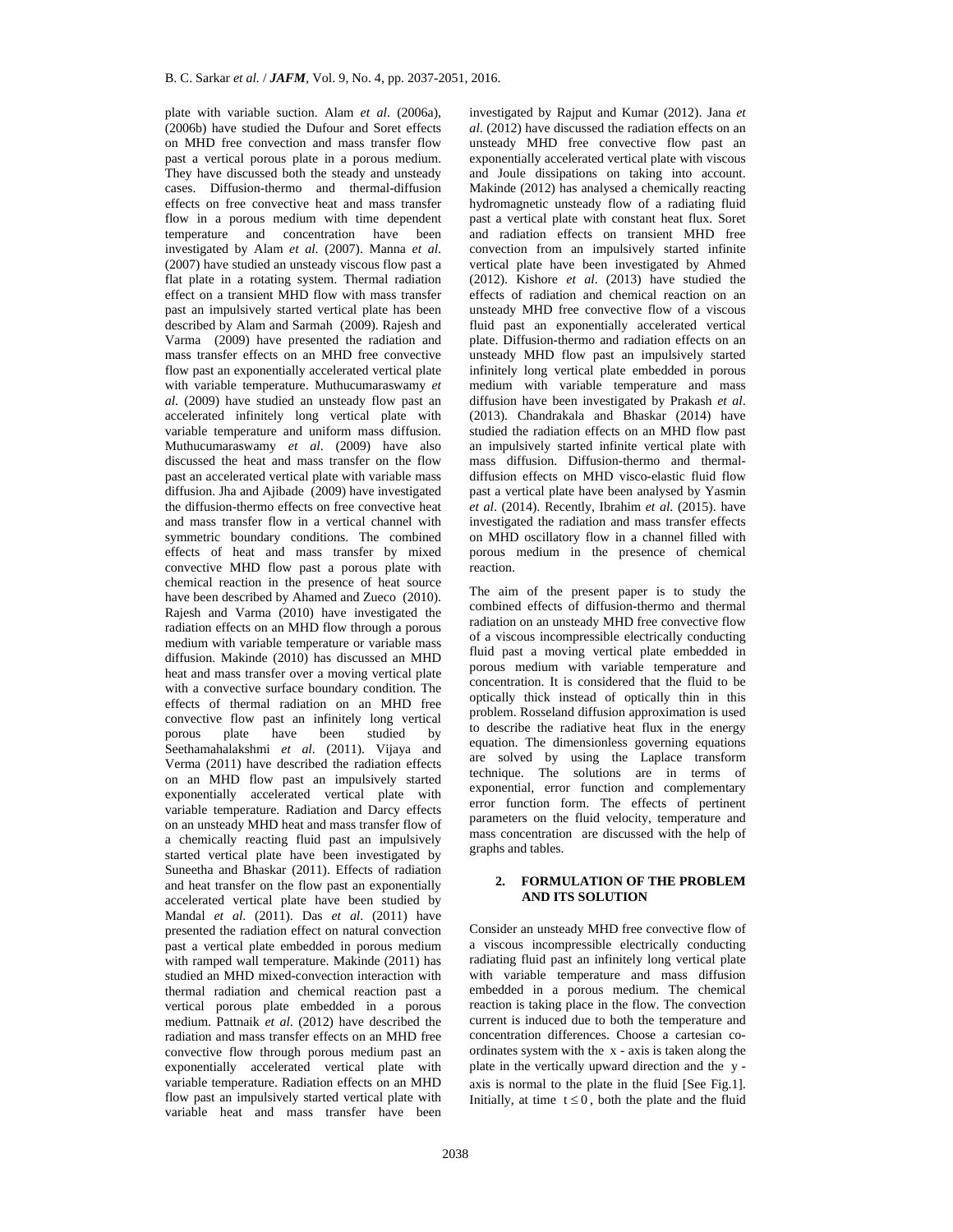the energy and with the convector and with the converging with the converging and imposine and particular method in population energy and infinitely bug vertical plate emphasive photos have statical an unsteady flow past plate with variable suction. Alam *et al*. (2006a), (2006b) have studied the Dufour and Soret effects on MHD free convection and mass transfer flow past a vertical porous plate in a porous medium. They have discussed both the steady and unsteady cases. Diffusion-thermo and thermal-diffusion effects on free convective heat and mass transfer flow in a porous medium with time dependent temperature and concentration have been investigated by Alam *et al*. (2007). Manna *et al*. (2007) have studied an unsteady viscous flow past a flat plate in a rotating system. Thermal radiation effect on a transient MHD flow with mass transfer past an impulsively started vertical plate has been described by Alam and Sarmah (2009). Rajesh and Varma (2009) have presented the radiation and mass transfer effects on an MHD free convective flow past an exponentially accelerated vertical plate with variable temperature. Muthucumaraswamy *et al*. (2009) have studied an unsteady flow past an accelerated infinitely long vertical plate with variable temperature and uniform mass diffusion. Muthucumaraswamy *et al*. (2009) have also discussed the heat and mass transfer on the flow past an accelerated vertical plate with variable mass diffusion. Jha and Ajibade (2009) have investigated the diffusion-thermo effects on free convective heat and mass transfer flow in a vertical channel with symmetric boundary conditions. The combined effects of heat and mass transfer by mixed convective MHD flow past a porous plate with chemical reaction in the presence of heat source have been described by Ahamed and Zueco (2010). Rajesh and Varma (2010) have investigated the radiation effects on an MHD flow through a porous medium with variable temperature or variable mass diffusion. Makinde (2010) has discussed an MHD heat and mass transfer over a moving vertical plate with a convective surface boundary condition. The effects of thermal radiation on an MHD free convective flow past an infinitely long vertical porous plate have been studied by Seethamahalakshmi *et al*. (2011). Vijaya and Verma (2011) have described the radiation effects on an MHD flow past an impulsively started exponentially accelerated vertical plate with exponentially accelerated vertical plate with<br>variable temperature. Radiation and Darcy effects on an unsteady MHD heat and mass transfer flow of a chemically reacting fluid past an impulsively started vertical plate have been investigated by Suneetha and Bhaskar (2011). Effects of radiation and heat transfer on the flow past an exponentially accelerated vertical plate have been studied by Mandal *et al*. (2011). Das *et al*. (2011) have presented the radiation effect on natural convection past a vertical plate embedded in porous medium with ramped wall temperature. Makinde (2011) has studied an MHD mixed-convection interaction with thermal radiation and chemical reaction past a vertical porous plate embedded in a porous medium. Pattnaik *et al*. (2012) have described the radiation and mass transfer effects on an MHD free convective flow through porous medium past an exponentially accelerated vertical plate with variable temperature. Radiation effects on an MHD flow past an impulsively started vertical plate with variable heat and mass transfer have been

investigated by Rajput and Kumar (2012). Jana *et al*. (2012) have discussed the radiation effects on an unsteady MHD free convective flow past an exponentially accelerated vertical plate with viscous and Joule dissipations on taking into account. Makinde (2012) has analysed a chemically reacting hydromagnetic unsteady flow of a radiating fluid past a vertical plate with constant heat flux. Soret and radiation effects on transient MHD free convection from an impulsively started infinite vertical plate have been investigated by Ahmed (2012). Kishore *et al*. (2013) have studied the effects of radiation and chemical reaction on an unsteady MHD free convective flow of a viscous fluid past an exponentially accelerated vertical plate. Diffusion-thermo and radiation effects on an unsteady MHD flow past an impulsively started infinitely long vertical plate embedded in porous medium with variable temperature and mass diffusion have been investigated by Prakash *et al*. (2013). Chandrakala and Bhaskar (2014) have studied the radiation effects on an MHD flow past an impulsively started infinite vertical plate with mass diffusion. Diffusion-thermo and thermaldiffusion effects on MHD visco-elastic fluid flow past a vertical plate have been analysed by Yasmin *et al*. (2014). Recently, Ibrahim *et al*. (2015). have investigated the radiation and mass transfer effects on MHD oscillatory flow in a channel filled with porous medium in the presence of chemical reaction.

The aim of the present paper is to study the combined effects of diffusion-thermo and thermal radiation on an unsteady MHD free convective flow of a viscous incompressible electrically conducting fluid past a moving vertical plate embedded in porous medium with variable temperature and concentration. It is considered that the fluid to be optically thick instead of optically thin in this problem. Rosseland diffusion approximation is used to describe the radiative heat flux in the energy equation. The dimensionless governing equations are solved by using the Laplace transform technique. The solutions are in terms of exponential, error function and complementary error function form. The effects of pertinent parameters on the fluid velocity, temperature and mass concentration are discussed with the help of graphs and tables.

#### **2. FORMULATION OF THE PROBLEM AND ITS SOLUTION**

Consider an unsteady MHD free convective flow of a viscous incompressible electrically conducting radiating fluid past an infinitely long vertical plate with variable temperature and mass diffusion embedded in a porous medium. The chemical reaction is taking place in the flow. The convection current is induced due to both the temperature and concentration differences. Choose a cartesian coordinates system with the x - axis is taken along the plate in the vertically upward direction and the y axis is normal to the plate in the fluid [See Fig.1]. Initially, at time  $t \leq 0$ , both the plate and the fluid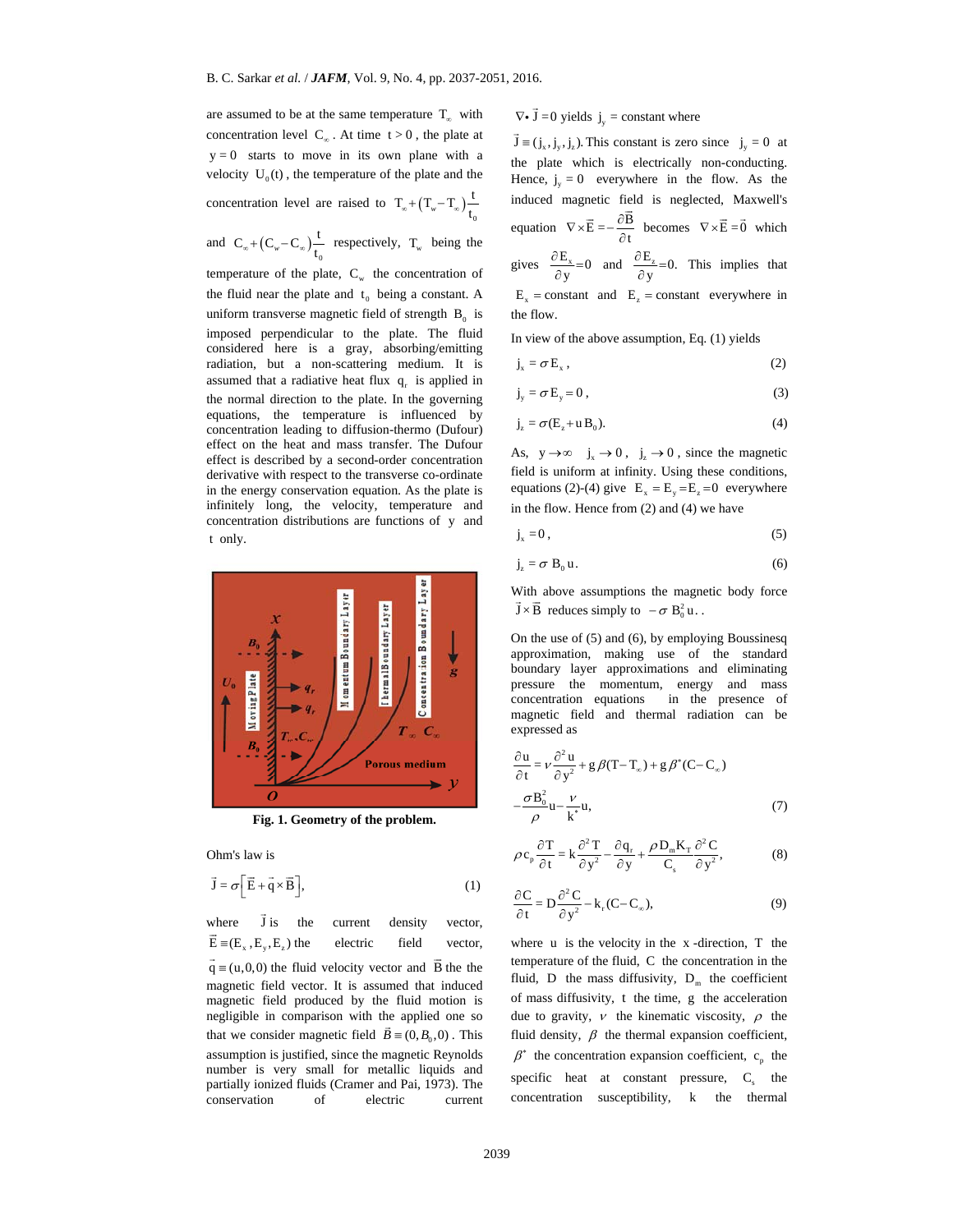are assumed to be at the same temperature  $T_{\infty}$  with concentration level  $C_{\infty}$ . At time  $t>0$ , the plate at  $y=0$  starts to move in its own plane with a velocity  $U_0(t)$ , the temperature of the plate and the concentration level are raised to  $T_{\infty} + (T_{w} - T_{\infty}) \frac{t}{t_{0}}$ 0 and  $C_{\infty} + (C_w - C_{\infty})\frac{c}{t_0}$  $C_{\infty} + (C_{w} - C_{\infty}) \frac{t}{t_0}$  respectively,  $T_{w}$  being the temperature of the plate,  $C_w$  the concentration of the fluid near the plate and  $t_0$  being a constant. A uniform transverse magnetic field of strength  $B_0$  is imposed perpendicular to the plate. The fluid considered here is a gray, absorbing/emitting radiation, but a non-scattering medium. It is

assumed that a radiative heat flux  $q_r$  is applied in the normal direction to the plate. In the governing equations, the temperature is influenced by concentration leading to diffusion-thermo (Dufour) effect on the heat and mass transfer. The Dufour effect is described by a second-order concentration derivative with respect to the transverse co-ordinate in the energy conservation equation. As the plate is infinitely long, the velocity, temperature and concentration distributions are functions of y and t only.





Ohm's law is

$$
\vec{\mathbf{J}} = \sigma \left[ \vec{\mathbf{E}} + \vec{\mathbf{q}} \times \vec{\mathbf{B}} \right],\tag{1}
$$

where  $\vec{J}$  is the current density vector,  $\vec{E} = (E_x, E_y, E_z)$  the electric field vector,  $\vec{q} = (u,0,0)$  the fluid velocity vector and  $\vec{B}$  the the magnetic field vector. It is assumed that induced magnetic field produced by the fluid motion is negligible in comparison with the applied one so that we consider magnetic field  $\vec{B} = (0, B_0, 0)$ . This assumption is justified, since the magnetic Reynolds number is very small for metallic liquids and partially ionized fluids (Cramer and Pai, 1973). The conservation of electric current

## $\nabla \cdot \vec{J} = 0$  yields  $j_y = constant$  where

 $\vec{J} = (j_x, j_y, j_z)$ . This constant is zero since  $j_y = 0$  at the plate which is electrically non-conducting. Hence,  $j_v = 0$  everywhere in the flow. As the induced magnetic field is neglected, Maxwell's equation  $\nabla \times \vec{E} = -\frac{\partial \vec{B}}{\partial t}$  becomes  $\nabla \times \vec{E} = \vec{0}$  which gives  $\frac{\partial E_x}{\partial y} = 0$  and  $\frac{\partial E_z}{\partial y} = 0$ . This implies that  $E_x$  = constant and  $E_z$  = constant everywhere in the flow.

In view of the above assumption, Eq. (1) yields

$$
j_x = \sigma E_x, \qquad (2)
$$
  
\n
$$
j_y = \sigma E_y = 0, \qquad (3)
$$
  
\n
$$
j_z = \sigma(E_z + u B_0). \qquad (4)
$$

As,  $y \rightarrow \infty$   $j_x \rightarrow 0$ ,  $\rightarrow$  0, since the magnetic field is uniform at infinity. Using these conditions, equations (2)-(4) give  $\mathbf{E}_x = \mathbf{E}_y = \mathbf{E}_z = 0$  everywhere in the flow. Hence from (2) and (4) we have

$$
\dot{\mathbf{r}} = \mathbf{0}.\tag{5}
$$

$$
\sigma \mathbf{B}_0 \mathbf{u}.\tag{6}
$$

With above assumptions the magnetic body force  $\overrightarrow{J} \times \overrightarrow{B}$  reduces simply to  $-\sigma B_0^2 u$ .

On the use of (5) and (6), by employing Boussinesq approximation, making use of the standard boundary layer approximations and eliminating pressure the momentum, energy and mass concentration equations in the presence of magnetic field and thermal radiation can be expressed as

$$
\frac{\partial \mathbf{u}}{\partial t} = v \frac{\partial^2 \mathbf{u}}{\partial y^2} + g \beta (T - T_{\infty}) + g \beta^* (C - C_{\infty})
$$
  

$$
-\frac{\sigma B_0^2}{\rho} \mathbf{u} - \frac{v}{k^*} \mathbf{u},
$$
 (7)

$$
\rho c_p \frac{\partial T}{\partial t} = k \frac{\partial^2 T}{\partial y^2} - \frac{\partial q_r}{\partial y} + \frac{\rho D_m K_T}{C_s} \frac{\partial^2 C}{\partial y^2},
$$
(8)

$$
\frac{\partial C}{\partial t} = D \frac{\partial^2 C}{\partial y^2} - k_r (C - C_\infty),\tag{9}
$$

where  $u$  is the velocity in the  $x$ -direction,  $T$  the temperature of the fluid, C the concentration in the fluid, D the mass diffusivity,  $D_m$  the coefficient of mass diffusivity, t the time, g the acceleration due to gravity,  $\nu$  the kinematic viscosity,  $\rho$  the fluid density,  $\beta$  the thermal expansion coefficient,  $\beta^*$  the concentration expansion coefficient, c<sub>p</sub> the specific heat at constant pressure,  $C_s$  the concentration susceptibility, k the thermal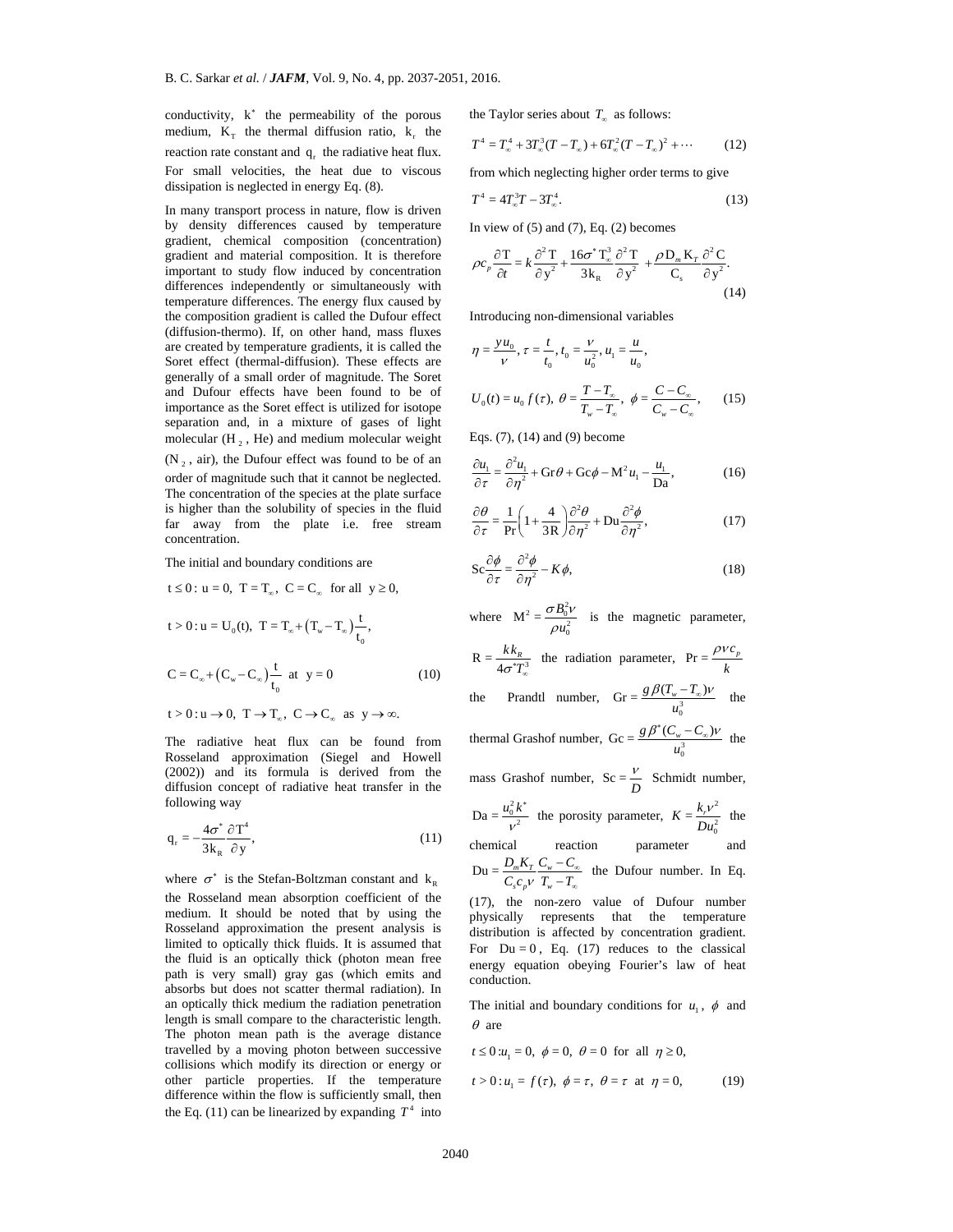conductivity,  $k^*$  the permeability of the porous medium,  $K<sub>T</sub>$  the thermal diffusion ratio,  $k<sub>r</sub>$  the reaction rate constant and q the radiative heat flux. For small velocities, the heat due to viscous dissipation is neglected in energy Eq. (8).

In many transport process in nature, flow is driven by density differences caused by temperature gradient, chemical composition (concentration) gradient and material composition. It is therefore important to study flow induced by concentration differences independently or simultaneously with temperature differences. The energy flux caused by the composition gradient is called the Dufour effect (diffusion-thermo). If, on other hand, mass fluxes are created by temperature gradients, it is called the Soret effect (thermal-diffusion). These effects are generally of a small order of magnitude. The Soret and Dufour effects have been found to be of importance as the Soret effect is utilized for isotope separation and, in a mixture of gases of light molecular  $(H_2, He)$  and medium molecular weight

 $(N_2, air)$ , the Dufour effect was found to be of an order of magnitude such that it cannot be neglected. The concentration of the species at the plate surface is higher than the solubility of species in the fluid far away from the plate i.e. free stream concentration.

The initial and boundary conditions are

t ≤ 0: u = 0, T = T<sub>∞</sub>, C = C<sub>∞</sub> for all y ≥ 0,  
\nt > 0: u = U<sub>0</sub>(t), T = T<sub>∞</sub> + (T<sub>w</sub> - T<sub>∞</sub>)
$$
\frac{t}{t_0}
$$
,  
\nC = C<sub>∞</sub> + (C<sub>w</sub> - C<sub>∞</sub>) $\frac{t}{t_0}$  at y = 0  
\nt > 0: u → 0, T → T<sub>∞</sub>, C → C<sub>∞</sub> as y → ∞.

The radiative heat flux can be found from Rosseland approximation (Siegel and Howell (2002)) and its formula is derived from the diffusion concept of radiative heat transfer in the following way

$$
q_r = -\frac{4\sigma^*}{3k_R} \frac{\partial T^4}{\partial y},
$$
\t(11)

where  $\sigma^*$  is the Stefan-Boltzman constant and  $k_p$ the Rosseland mean absorption coefficient of the medium. It should be noted that by using the Rosseland approximation the present analysis is limited to optically thick fluids. It is assumed that the fluid is an optically thick (photon mean free path is very small) gray gas (which emits and absorbs but does not scatter thermal radiation). In an optically thick medium the radiation penetration length is small compare to the characteristic length. The photon mean path is the average distance travelled by a moving photon between successive collisions which modify its direction or energy or other particle properties. If the temperature difference within the flow is sufficiently small, then the Eq. (11) can be linearized by expanding  $T^4$  into the Taylor series about  $T_{\alpha}$  as follows:

$$
T^{4} = T_{\infty}^{4} + 3T_{\infty}^{3}(T - T_{\infty}) + 6T_{\infty}^{2}(T - T_{\infty})^{2} + \cdots
$$
 (12)

from which neglecting higher order terms to give

$$
T^4 = 4T_{\infty}^3 T - 3T_{\infty}^4. \tag{13}
$$

In view of  $(5)$  and  $(7)$ , Eq.  $(2)$  becomes

$$
\rho c_p \frac{\partial T}{\partial t} = k \frac{\partial^2 T}{\partial y^2} + \frac{16\sigma^* T_\infty^3}{3k_R} \frac{\partial^2 T}{\partial y^2} + \frac{\rho D_m K_T}{C_s} \frac{\partial^2 C}{\partial y^2}.
$$
\n(14)

Introducing non-dimensional variables

$$
\eta = \frac{y u_0}{v}, \tau = \frac{t}{t_0}, t_0 = \frac{v}{u_0^2}, u_1 = \frac{u}{u_0},
$$
  

$$
U_0(t) = u_0 f(\tau), \ \theta = \frac{T - T_{\infty}}{T_{w} - T_{\infty}}, \ \phi = \frac{C - C_{\infty}}{C_{w} - C_{\infty}}, \tag{15}
$$

Eqs. (7), (14) and (9) become

$$
\frac{\partial u_1}{\partial \tau} = \frac{\partial^2 u_1}{\partial \eta^2} + \text{Gr}\theta + \text{Ge}\phi - \text{M}^2 u_1 - \frac{u_2}{\text{Da}},\tag{16}
$$

$$
\frac{\partial \theta}{\partial \tau} = \frac{1}{\text{Pr}} \left( 1 + \frac{4}{3R} \right) \frac{\partial^2 \theta}{\partial \eta^2} + \text{Du} \frac{\partial^2 \phi}{\partial \eta^2},\tag{17}
$$

$$
Sc\frac{\partial \phi}{\partial \tau} = \frac{\partial^2 \phi}{\partial \eta^2} - K\phi,
$$
 (18)

t (thermal-diffusion). These effects are<br>  $\sigma$  and order of magnitude. The Soret<br>
ure effects have been found to be of<br>
us as Soret effects have been found to be of<br>
and, in a mixture of gases of light<br>
(H<sub>2</sub>, He) and med where  $\mathbf{M}^2 = \frac{\sigma B_0^2}{\rho u_0^2}$  $M^2 = \frac{\sigma B_0}{\rho u}$  $\sigma$ BMV  $\frac{\partial E_0 V}{\partial u_0^2}$  is the magnetic parameter,  $\overline{\mathbf{R}} = \frac{\kappa \kappa_R}{4\sigma^* T_{\infty}^3}$ *<sup>R</sup> k k*  $\sigma^* T^{\beta}_\omega$ the radiation parameter,  $Pr = \frac{\rho v c_p}{k}$  $\rho\nu$ the Prandtl number,  $\text{Gr} = \frac{\delta P(\mathbf{I}_w)}{u_0^3}$  $\text{Gr} = \frac{g \beta (T_w - T_\infty) \nu}{u_0^3}$  the thermal Grashof number,  $\text{Gc} = \frac{\delta P (C_w)}{u_0^3}$  $\text{Gc} = \frac{g \beta^*(C_w - C_\infty)\nu}{u_0^3}$  the mass Grashof number,  $Sc = \frac{V}{D}$  Schmidt number,

 $Da = \frac{u_0^2 k}{v^2}$ v <sup>\*</sup> the porosity parameter,  $K = \frac{k_r v^2}{r^2}$  $K = \frac{k_r v^2}{D u_0^2}$  the  $\epsilon$  chemical reaction parameter and  $Du = \frac{D_m \mathbf{R}_T}{\sigma} \frac{\mathbf{C}_w}{\sigma}$  $s^{\mathbf{c}} p^{\mathbf{v}}$   $\mathbf{I}_w$  $D_{m}K_{T}$   $C_{w}$  –  $C$  $\frac{D_m \mathbf{K}_T}{C_s c_n v} \frac{C_w - C_w}{T_w - T_w}$ œ  $\frac{-C_{\infty}}{-T_{\infty}}$  the Dufour number. In Eq.

(17), the non-zero value of Dufour number physically represents that the temperature distribution is affected by concentration gradient. For  $Du = 0$ , Eq. (17) reduces to the classical energy equation obeying Fourier's law of heat conduction.

The initial and boundary conditions for  $u_1$ ,  $\phi$  and  $\theta$  are

$$
t \le 0: u_1 = 0, \quad \phi = 0, \quad \theta = 0 \quad \text{for all} \quad \eta \ge 0,
$$
\n
$$
t > 0: u_1 = f(\tau), \quad \phi = \tau, \quad \theta = \tau \quad \text{at} \quad \eta = 0,
$$
\n
$$
(19)
$$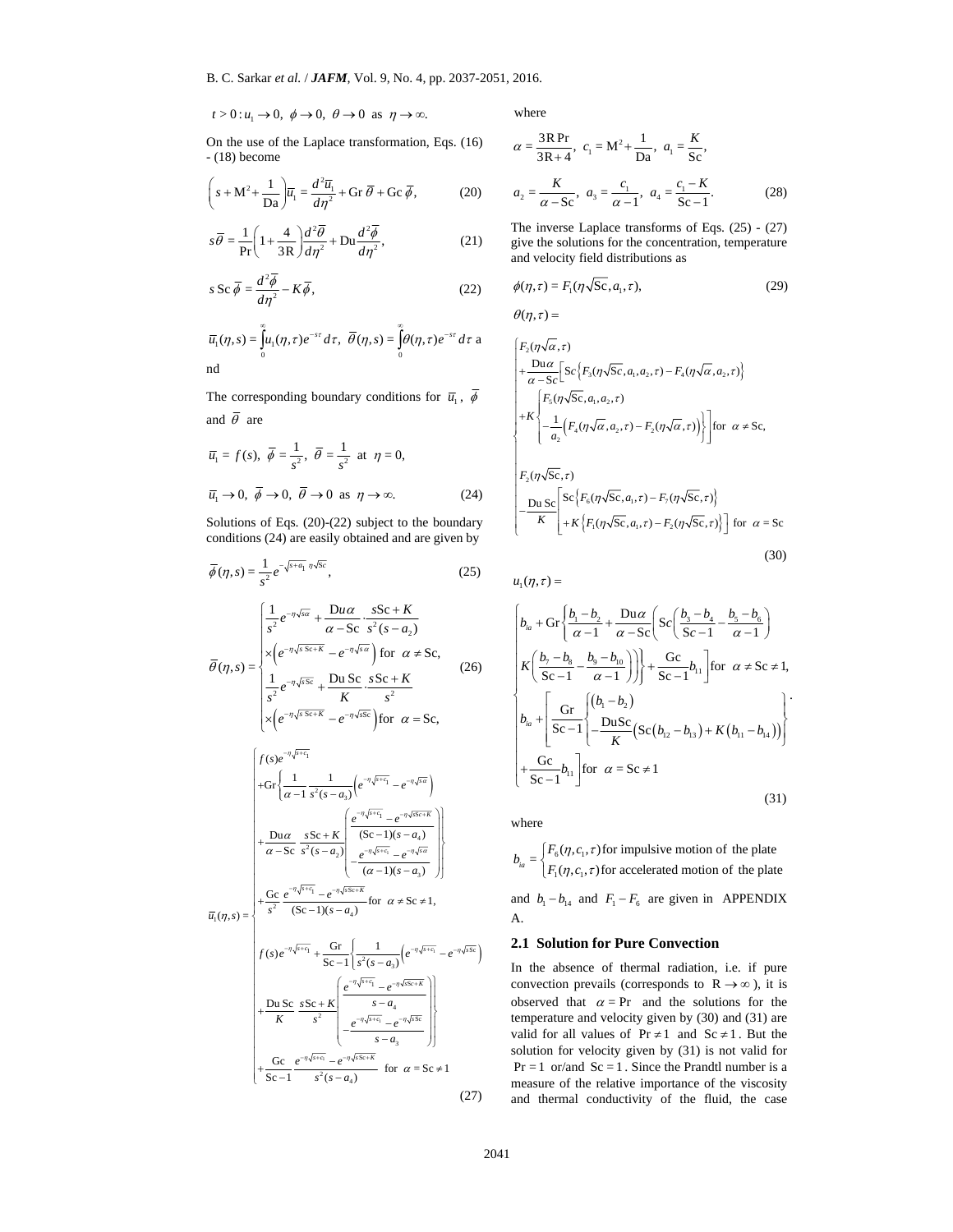$$
t > 0
$$
:  $u_1 \to 0$ ,  $\phi \to 0$ ,  $\theta \to 0$  as  $\eta \to \infty$ .

On the use of the Laplace transformation, Eqs. (16) - (18) become

$$
\left(s + M^2 + \frac{1}{\text{Da}}\right) \overline{u}_1 = \frac{d^2 \overline{u}_1}{d\eta^2} + \text{Gr } \overline{\theta} + \text{Gc } \overline{\phi},\tag{20}
$$

$$
s\overline{\theta} = \frac{1}{\text{Pr}} \left( 1 + \frac{4}{3R} \right) \frac{d^2 \overline{\theta}}{d\eta^2} + \text{D}u \frac{d^2 \overline{\phi}}{d\eta^2},\tag{21}
$$

$$
s \operatorname{Sc} \overline{\phi} = \frac{d^2 \overline{\phi}}{d \eta^2} - K \overline{\phi}, \tag{22}
$$

$$
\overline{u}_1(\eta, s) = \int_0^\infty u_1(\eta, \tau) e^{-s\tau} d\tau, \ \overline{\theta}(\eta, s) = \int_0^\infty \theta(\eta, \tau) e^{-s\tau} d\tau
$$
 and

The corresponding boundary conditions for  $\overline{u}_{\!\scriptscriptstyle 1}^{\phantom{\dagger}}$  ,  $\overline{\phi}$ and  $\overline{\theta}$  are

$$
\overline{u}_1 = f(s), \ \overline{\phi} = \frac{1}{s^2}, \ \overline{\theta} = \frac{1}{s^2} \text{ at } \eta = 0,
$$
  

$$
\overline{u}_1 \to 0, \ \overline{\phi} \to 0, \ \overline{\theta} \to 0 \text{ as } \eta \to \infty.
$$
 (24)

Solutions of Eqs. (20)-(22) subject to the boundary conditions (24) are easily obtained and are given by

and  
\n
$$
\overline{u}
$$
\nThe corresponding boundary conditions for  $\overline{u}_1$ ,  $\overline{\phi}$   
\nand  $\overline{\theta}$  are  
\n
$$
\overline{u}_1 = f(s), \overline{\phi} = \frac{1}{s^2}, \overline{\theta} = \frac{1}{s^2}
$$
 at  $\eta = 0$ ,  
\n
$$
\overline{u}_1 = f(s), \overline{\phi} = \frac{1}{s^2}, \overline{\theta} = \frac{1}{s^2}
$$
 at  $\eta = 0$ ,  
\n
$$
\overline{u}_1 \rightarrow 0, \overline{\phi} \rightarrow 0, \overline{\phi} \rightarrow 0
$$
 as  $\eta \rightarrow \infty$ .  
\nSolutions of Eqs. (20)-(22) subject to the boundary  
\nconditions (24) are easily obtained and are given by  
\n
$$
\overline{\phi}(\eta, s) = \frac{1}{s^2} e^{-\eta \sqrt{sa}} + \frac{Du\alpha}{\alpha - Sc} \cdot s^2(s - a_2)
$$
\n
$$
\overline{\phi}(\eta, s) = \frac{1}{s^2} e^{-\eta \sqrt{sa}} + \frac{Du\alpha}{\alpha - Sc} \cdot s^2(s - a_2)
$$
\n
$$
\overline{\phi}(\eta, s) = \frac{1}{s^2} e^{-\eta \sqrt{as}} + \frac{Du\alpha}{\alpha - Sc} \cdot s^2(s - a_2)
$$
\n
$$
\overline{\phi}(\eta, s) = \frac{1}{s^2} e^{-\eta \sqrt{as}} + \frac{Du\alpha}{\alpha - Sc} \cdot s^2(s - a_2)
$$
\n
$$
\overline{\phi}(\eta, s) = \frac{1}{s^2} e^{-\eta \sqrt{as}} + \frac{Du\alpha}{\alpha - Sc} \cdot s^2(s - a_2)
$$
\n
$$
\overline{\phi}(\eta, s) = \frac{1}{s^2} e^{-\eta \sqrt{as}} + \frac{Du\alpha}{\alpha - Sc} \cdot s^2(s - a_2)
$$
\n
$$
\overline{\phi}(\eta, s) = \frac{1}{s^2} e^{-\eta \sqrt{as}} + \frac{Du\alpha}{\alpha - Sc} \cdot s^2(s - a_2)
$$
\n
$$
\overline{\phi}(\eta, s) = \frac{1}{s^2} e^{-\eta \sqrt{as}} + \frac{Du\alpha}{\
$$

where

$$
\alpha = \frac{3 \text{R Pr}}{3 \text{R} + 4}, \ c_1 = \text{M}^2 + \frac{1}{\text{Da}}, \ a_1 = \frac{K}{\text{Sc}},
$$

$$
a_2 = \frac{K}{\alpha - \text{Sc}}, \ a_3 = \frac{c_1}{\alpha - 1}, \ a_4 = \frac{c_1 - K}{\text{Sc} - 1}.
$$
(28)

The inverse Laplace transforms of Eqs. (25) - (27) give the solutions for the concentration, temperature and velocity field distributions as

$$
\phi(\eta,\tau) = F_1(\eta\sqrt{Sc}, a_1, \tau),\tag{29}
$$

$$
\theta(\eta,\tau) =
$$

$$
\begin{aligned}\n&\left\{\n\begin{aligned}\nF_2(\eta\sqrt{\alpha},\tau) \\
&+\frac{\text{Dua}}{\alpha-\text{Sc}}\left[\n\text{Sc}\left\{F_3(\eta\sqrt{\text{Sc}},a_1,a_2,\tau) - F_3(\eta\sqrt{\alpha},a_2,\tau)\right\}\n\end{aligned}\n\right. \\
&+\kappa\n\begin{aligned}\n&\left\{\n\begin{aligned}\nF_5(\eta\sqrt{\text{Sc}},a_1,a_2,\tau) \\
&-\frac{1}{a_2}\left(F_4(\eta\sqrt{\alpha},a_2,\tau) - F_2(\eta\sqrt{\alpha},\tau)\right)\n\end{aligned}\n\right.\n\right\} \\
&\text{for }\alpha \neq \text{Sc}, \\
&\text{Du Sc}\left[\n\begin{aligned}\n&\text{Sc}\left\{\n\begin{aligned}\nF_6(\eta\sqrt{\text{Sc}},a_1,\tau) - F_7(\eta\sqrt{\text{Sc}},\tau)\n\end{aligned}\n\end{aligned}\n\right.\n\right) \\
&+\kappa\n\left\{\n\begin{aligned}\nF_1(\eta\sqrt{\text{Sc}},a_1,\tau) - F_2(\eta\sqrt{\text{Sc}},\tau)\n\end{aligned}\n\right\} \\
&\text{for }\alpha = \text{Sc}\n\end{aligned}\n\end{aligned}
$$
\n(30)

$$
b_{ia} + \text{Gr}\left\{\frac{b_1 - b_2}{\alpha - 1} + \frac{\text{D}u\alpha}{\alpha - \text{Sc}} \left( \text{Sc}\left(\frac{b_3 - b_4}{\text{Sc} - 1} - \frac{b_5 - b_6}{\alpha - 1} \right) \right) \right\}
$$
  
\n
$$
K\left(\frac{b_7 - b_8}{\text{Sc} - 1} - \frac{b_9 - b_{10}}{\alpha - 1} \right) \bigg\} + \frac{\text{Gc}}{\text{Sc} - 1} b_{11} \text{ for } \alpha \neq \text{Sc} \neq 1,
$$
  
\n
$$
b_{ia} + \left[ \frac{\text{Gr}}{\text{Sc} - 1} \left( \frac{(b_1 - b_2)}{\text{K}} \right) \left( \text{Sc}(b_{12} - b_{13}) + K(b_{11} - b_{14}) \right) \right]
$$
  
\n
$$
+ \frac{\text{Gc}}{\text{Sc} - 1} b_{11} \text{ for } \alpha = \text{Sc} \neq 1
$$
  
\n(31)

where

A.

 $_{6}$ ( $\prime$  $_{1}$ , $\prime$ <sub>1</sub>  $b_{ia} = \begin{cases} F_6(\eta, c_1, \tau) \text{ for impulsive motion of the plate} \\ F_1(\eta, c_1, \tau) \text{ for accelerated motion of the plate} \end{cases}$  $\eta, c_{\scriptscriptstyle 1}^{}, \tau$  $\eta, c_{\scriptscriptstyle 1}, \tau$  $\begin{cases} \end{cases}$ and  $b_1 - b_{14}$  and  $F_1 - F_6$  are given in APPENDIX

#### **2.1 Solution for Pure Convection**

In the absence of thermal radiation, i.e. if pure convection prevails (corresponds to  $R \rightarrow \infty$ ), it is observed that  $\alpha = Pr$  and the solutions for the temperature and velocity given by (30) and (31) are valid for all values of  $Pr \neq 1$  and  $Sc \neq 1$ . But the solution for velocity given by (31) is not valid for  $Pr = 1$  or/and  $Sc = 1$ . Since the Prandtl number is a measure of the relative importance of the viscosity and thermal conductivity of the fluid, the case

.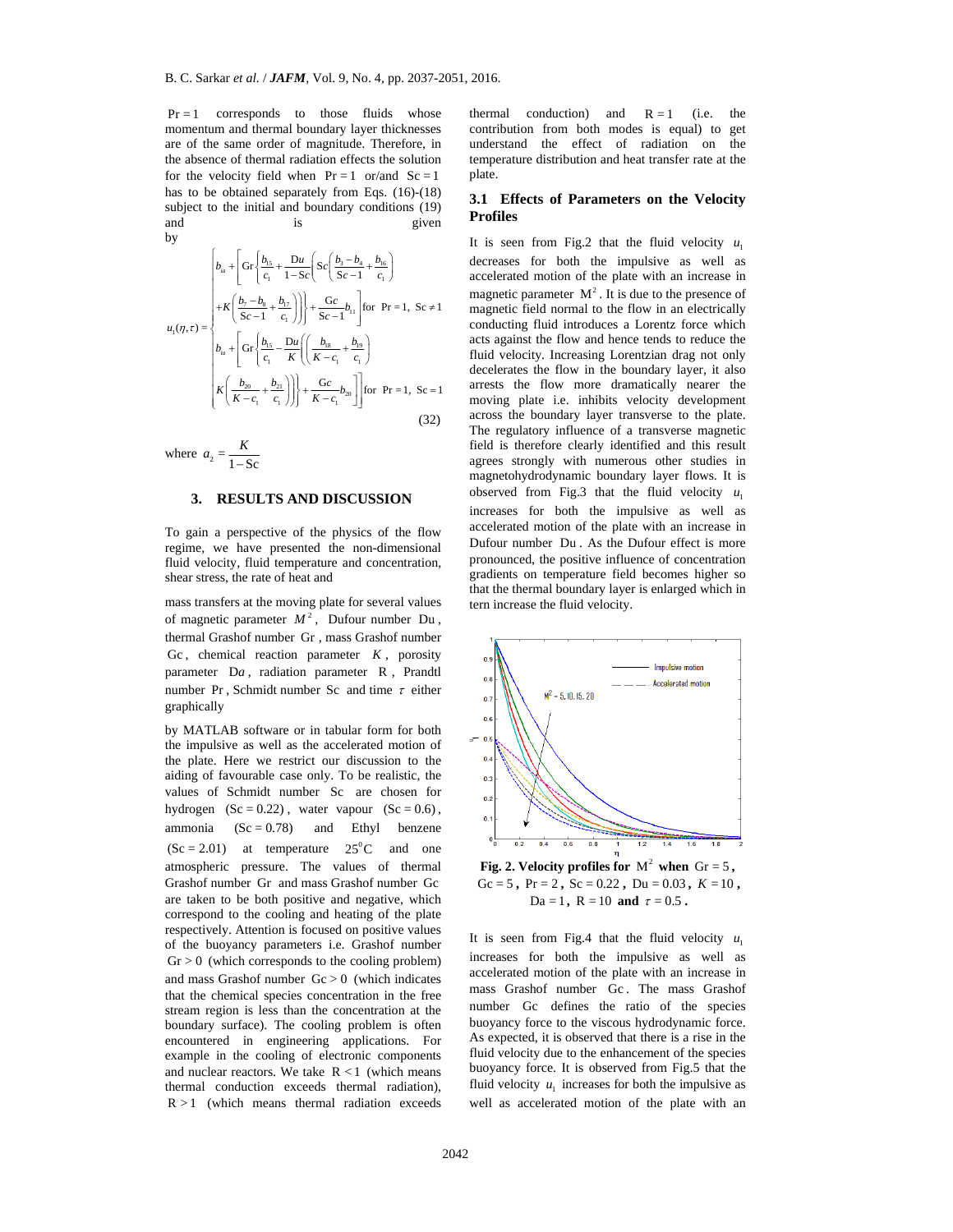$Pr = 1$  corresponds to those fluids whose momentum and thermal boundary layer thicknesses are of the same order of magnitude. Therefore, in the absence of thermal radiation effects the solution for the velocity field when  $Pr = 1$  or/and  $Sc = 1$ has to be obtained separately from Eqs. (16)-(18) subject to the initial and boundary conditions (19) and is given by

$$
u_{1}(\eta,\tau) = \begin{cases} b_{ia} + \left[ G\Gamma\left\{ \frac{b_{1S}}{c_{1}} + \frac{Du}{1-Sc} \right\} Sc\left( \frac{b_{3}-b_{4}}{Sc-1} + \frac{b_{16}}{c_{1}} \right) \right. \\ \left. + K\left( \frac{b_{7}-b_{8}}{Sc-1} + \frac{b_{17}}{c_{1}} \right) \right] \right\} + \frac{Gc}{Sc-1} b_{11} \left[ \text{for Pr} = 1, Sc \neq 1 \right. \\ b_{ia} + \left[ G\Gamma\left\{ \frac{b_{1S}}{c_{1}} - \frac{Du}{K} \left( \left( \frac{b_{1S}}{K-c_{1}} + \frac{b_{19}}{c_{1}} \right) \right. \right. \right. \\ \left. K\left( \frac{b_{20}}{K-c_{1}} + \frac{b_{21}}{c_{1}} \right) \right) \right\} + \frac{Gc}{K-c_{1}} b_{20} \left] \right] \text{for Pr} = 1, Sc = 1 \end{cases} \tag{32}
$$

where 
$$
a_2 = \frac{K}{1 - \text{Sc}}
$$

#### **3. RESULTS AND DISCUSSION**

To gain a perspective of the physics of the flow regime, we have presented the non-dimensional fluid velocity, fluid temperature and concentration, shear stress, the rate of heat and

mass transfers at the moving plate for several values of magnetic parameter  $M^2$ , Dufour number Du thermal Grashof number Gr , mass Grashof number Gc, chemical reaction parameter  $K$ , porosity parameter D*a* , radiation parameter R , Prandtl number Pr, Schmidt number Sc and time  $\tau$  either graphically

by MATLAB software or in tabular form for both the impulsive as well as the accelerated motion of the plate. Here we restrict our discussion to the aiding of favourable case only. To be realistic, the values of Schmidt number Sc are chosen for hydrogen  $(Sc = 0.22)$ , water vapour  $(Sc = 0.6)$ , ammonia  $(Sc = 0.78)$  and Ethyl benzene  $(Sc = 2.01)$  at temperature  $25^{\circ}$ C and one atmospheric pressure. The values of thermal Grashof number Gr and mass Grashof number Gc are taken to be both positive and negative, which correspond to the cooling and heating of the plate respectively. Attention is focused on positive values of the buoyancy parameters i.e. Grashof number  $Gr > 0$  (which corresponds to the cooling problem) and mass Grashof number  $Gc > 0$  (which indicates that the chemical species concentration in the free stream region is less than the concentration at the boundary surface). The cooling problem is often encountered in engineering applications. For example in the cooling of electronic components and nuclear reactors. We take  $R < 1$  (which means thermal conduction exceeds thermal radiation),  $R > 1$  (which means thermal radiation exceeds

thermal conduction) and  $R = 1$  (i.e. the contribution from both modes is equal) to get understand the effect of radiation on the temperature distribution and heat transfer rate at the plate.

#### **3.1 Effects of Parameters on the Velocity Profiles**

 $\left[ \left[ \begin{array}{cc} 0 & K \ (k - c_1 - c_1) & \text{function} \ (k - c_2 - c_1) \end{array} \right] \right]$  for Pr=1. Se=1 according the flow in the boundary layer, it<br>  $\left( \frac{b_2 - b_2}{k - c_1 + c_1} \right) \right]$  for Pr=1. Se=1 access the flow in the boundary layer, it<br>  $\left[ \frac$ It is seen from Fig.2 that the fluid velocity  $u_1$ decreases for both the impulsive as well as accelerated motion of the plate with an increase in magnetic parameter  $M^2$ . It is due to the presence of magnetic field normal to the flow in an electrically conducting fluid introduces a Lorentz force which acts against the flow and hence tends to reduce the fluid velocity. Increasing Lorentzian drag not only decelerates the flow in the boundary layer, it also arrests the flow more dramatically nearer the moving plate i.e. inhibits velocity development across the boundary layer transverse to the plate. The regulatory influence of a transverse magnetic field is therefore clearly identified and this result agrees strongly with numerous other studies in magnetohydrodynamic boundary layer flows. It is observed from Fig.3 that the fluid velocity  $u_1$ increases for both the impulsive as well as accelerated motion of the plate with an increase in Dufour number Du . As the Dufour effect is more pronounced, the positive influence of concentration gradients on temperature field becomes higher so that the thermal boundary layer is enlarged which in tern increase the fluid velocity.



**Fig. 2. Velocity profiles for**  $M^2$  when  $Gr = 5$ , Gc = 5,  $Pr = 2$ ,  $Sc = 0.22$ ,  $Du = 0.03$ ,  $K = 10$ ,  $Da = 1$ ,  $R = 10$  and  $\tau = 0.5$ .

It is seen from Fig.4 that the fluid velocity  $u_1$ increases for both the impulsive as well as accelerated motion of the plate with an increase in mass Grashof number Gc . The mass Grashof number Gc defines the ratio of the species buoyancy force to the viscous hydrodynamic force. As expected, it is observed that there is a rise in the fluid velocity due to the enhancement of the species buoyancy force. It is observed from Fig.5 that the fluid velocity  $u_1$  increases for both the impulsive as well as accelerated motion of the plate with an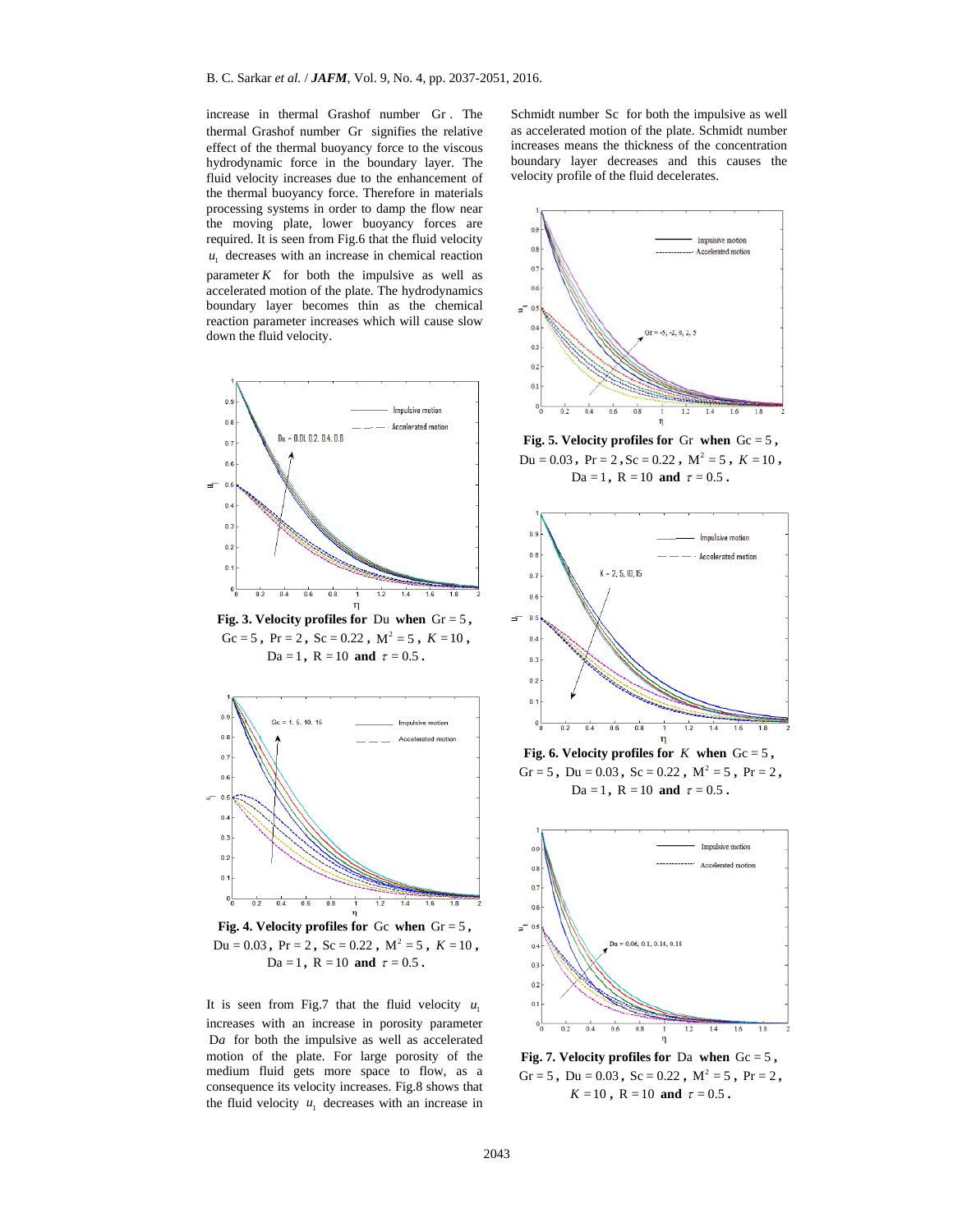increase in thermal Grashof number Gr . The thermal Grashof number Gr signifies the relative effect of the thermal buoyancy force to the viscous hydrodynamic force in the boundary layer. The fluid velocity increases due to the enhancement of the thermal buoyancy force. Therefore in materials processing systems in order to damp the flow near the moving plate, lower buoyancy forces are required. It is seen from Fig.6 that the fluid velocity  $u_1$  decreases with an increase in chemical reaction parameter  $K$  for both the impulsive as well as accelerated motion of the plate. The hydrodynamics boundary layer becomes thin as the chemical reaction parameter increases which will cause slow down the fluid velocity.



 $Du = 0.03$ ,  $Pr = 2$ ,  $Sc = 0.22$ ,  $M^2 = 5$ ,  $K = 10$ ,  $Da = 1$ ,  $R = 10$  and  $\tau = 0.5$ .

It is seen from Fig.7 that the fluid velocity  $u_1$ increases with an increase in porosity parameter Da for both the impulsive as well as accelerated motion of the plate. For large porosity of the medium fluid gets more space to flow, as a consequence its velocity increases. Fig.8 shows that the fluid velocity  $u_1$  decreases with an increase in

Schmidt number Sc for both the impulsive as well as accelerated motion of the plate. Schmidt number increases means the thickness of the concentration boundary layer decreases and this causes the velocity profile of the fluid decelerates.





Gr = 5, Du =  $0.03$ , Sc =  $0.22$ , M<sup>2</sup> = 5, Pr = 2,  $K = 10$ ,  $R = 10$  and  $\tau = 0.5$ .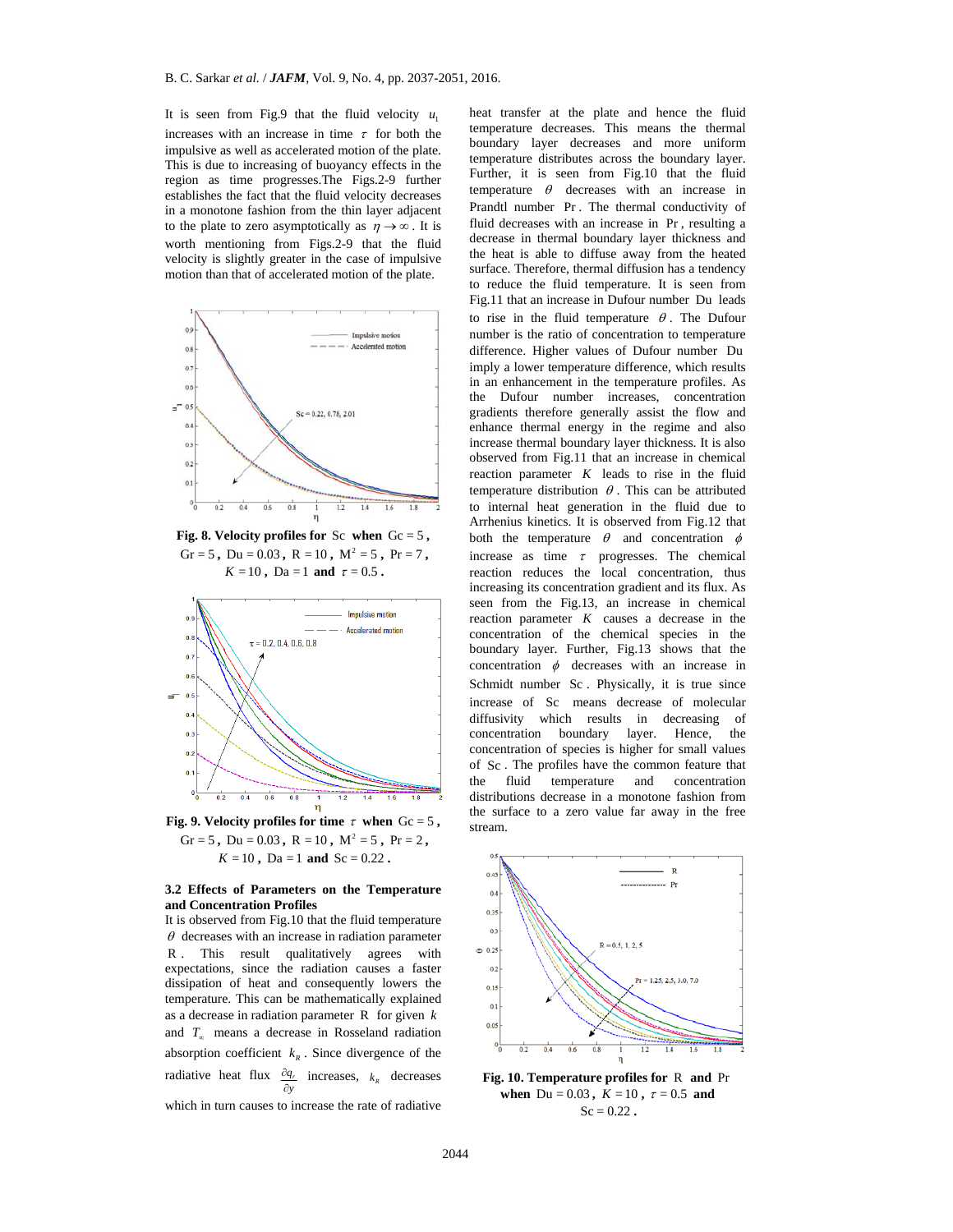It is seen from Fig.9 that the fluid velocity  $u_1$ increases with an increase in time  $\tau$  for both the impulsive as well as accelerated motion of the plate. This is due to increasing of buoyancy effects in the region as time progresses.The Figs.2-9 further establishes the fact that the fluid velocity decreases in a monotone fashion from the thin layer adjacent to the plate to zero asymptotically as  $\eta \rightarrow \infty$ . It is worth mentioning from Figs.2-9 that the fluid velocity is slightly greater in the case of impulsive motion than that of accelerated motion of the plate.



**Fig. 8. Velocity profiles for**  $Sc$  when  $Gc = 5$ , Gr = 5, Du =  $0.03$ , R =  $10$ , M<sup>2</sup> = 5, Pr = 7,  $K = 10$ ,  $Da = 1$  and  $\tau = 0.5$ .



Gr = 5, Du =  $0.03$ , R =  $10$ , M<sup>2</sup> = 5, Pr = 2,  $K = 10$ ,  $\overline{Da} = 1$  and  $\overline{Sc} = 0.22$ .

#### **3.2 Effects of Parameters on the Temperature and Concentration Profiles**

It is observed from Fig.10 that the fluid temperature  $\theta$  decreases with an increase in radiation parameter R . This result qualitatively agrees with expectations, since the radiation causes a faster dissipation of heat and consequently lowers the temperature. This can be mathematically explained as a decrease in radiation parameter R for given *k* and  $T_{\infty}$  means a decrease in Rosseland radiation absorption coefficient  $k<sub>R</sub>$ . Since divergence of the radiative heat flux  $\frac{\partial q_i}{\partial y}$ ô  $\frac{\partial q_r}{\partial y}$  increases,  $k_R$  decreases which in turn causes to increase the rate of radiative

imply a lower temperature difference, which results in an enhancement in the temperature particle.<br>
The main and the method increase them allows the flow the state of the flow increase the main boundary layer the flow inc heat transfer at the plate and hence the fluid temperature decreases. This means the thermal boundary layer decreases and more uniform temperature distributes across the boundary layer. Further, it is seen from Fig.10 that the fluid temperature  $\theta$  decreases with an increase in Prandtl number Pr . The thermal conductivity of fluid decreases with an increase in Pr , resulting a decrease in thermal boundary layer thickness and the heat is able to diffuse away from the heated surface. Therefore, thermal diffusion has a tendency to reduce the fluid temperature. It is seen from Fig.11 that an increase in Dufour number Du leads to rise in the fluid temperature  $\theta$ . The Dufour number is the ratio of concentration to temperature difference. Higher values of Dufour number Du imply a lower temperature difference, which results in an enhancement in the temperature profiles. As the Dufour number increases, concentration gradients therefore generally assist the flow and enhance thermal energy in the regime and also increase thermal boundary layer thickness. It is also observed from Fig.11 that an increase in chemical reaction parameter *K* leads to rise in the fluid temperature distribution  $\theta$ . This can be attributed to internal heat generation in the fluid due to Arrhenius kinetics. It is observed from Fig.12 that both the temperature  $\theta$  and concentration  $\phi$ increase as time  $\tau$  progresses. The chemical reaction reduces the local concentration, thus increasing its concentration gradient and its flux. As seen from the Fig.13, an increase in chemical reaction parameter *K* causes a decrease in the concentration of the chemical species in the boundary layer. Further, Fig.13 shows that the concentration  $\phi$  decreases with an increase in Schmidt number Sc . Physically, it is true since increase of Sc means decrease of molecular diffusivity which results in decreasing of concentration boundary layer. Hence, the concentration of species is higher for small values of Sc . The profiles have the common feature that the fluid temperature and concentration distributions decrease in a monotone fashion from the surface to a zero value far away in the free stream.



**Fig. 10. Temperature profiles for** R **and** Pr **when**  $Du = 0.03$ ,  $K = 10$ ,  $\tau = 0.5$  and  $Sc = 0.22$ .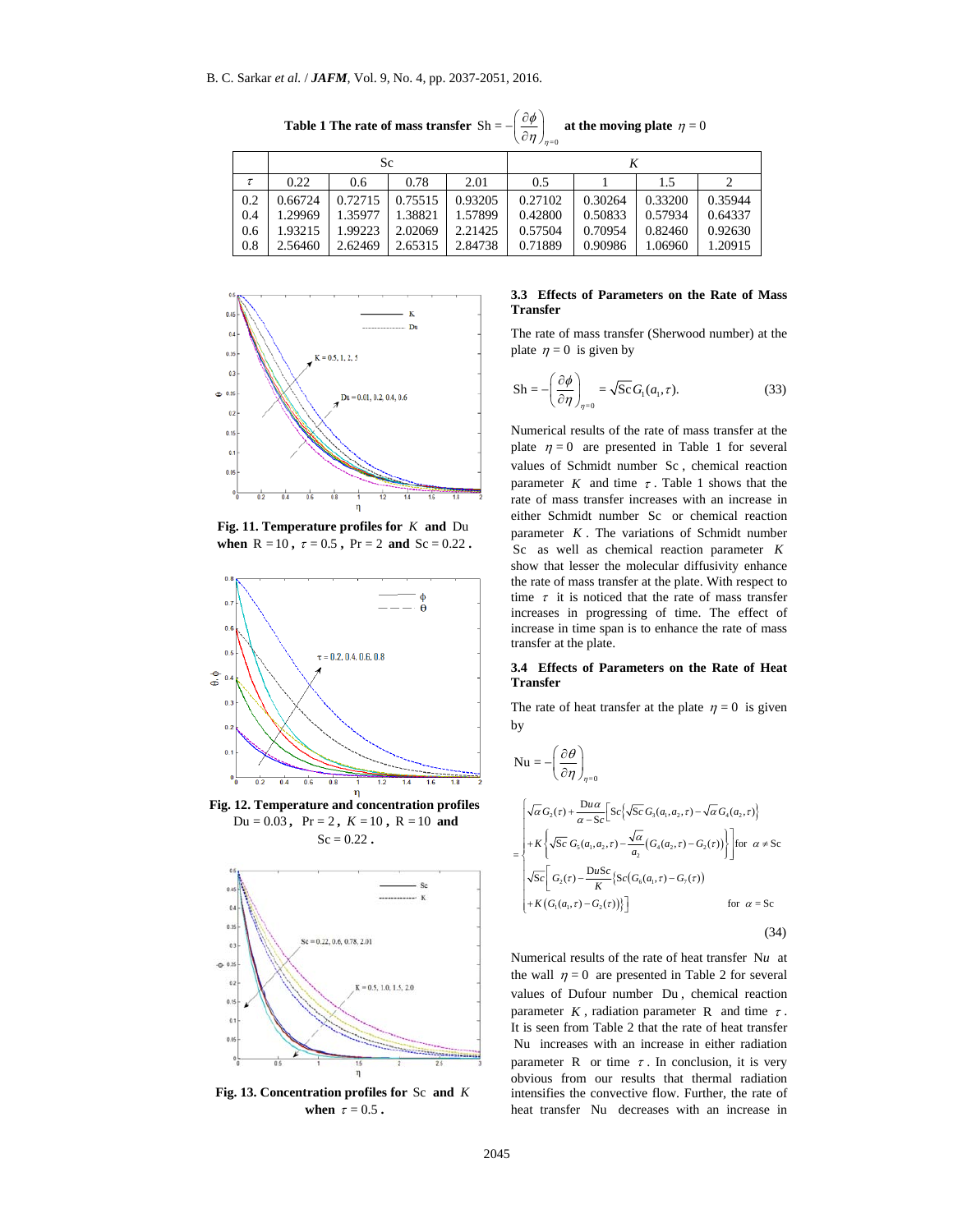**Table 1 The rate of mass transfer**   $=0$  $Sh =$  $\phi$  $-\left(\frac{\partial \phi}{\partial \eta}\right)_{\eta=0}$  at the moving plate  $\eta=0$ 

|     | $\cdots$ |         |         |         |         |         |         |         |  |  |
|-----|----------|---------|---------|---------|---------|---------|---------|---------|--|--|
|     |          | Sc      |         |         |         |         |         |         |  |  |
| τ   | 0.22     | 0.6     | 0.78    | 2.01    | 0.5     |         | 1.5     |         |  |  |
| 0.2 | 0.66724  | 0.72715 | 0.75515 | 0.93205 | 0.27102 | 0.30264 | 0.33200 | 0.35944 |  |  |
| 0.4 | 1.29969  | 1.35977 | 1.38821 | 1.57899 | 0.42800 | 0.50833 | 0.57934 | 0.64337 |  |  |
| 0.6 | 1.93215  | 1.99223 | 2.02069 | 2.21425 | 0.57504 | 0.70954 | 0.82460 | 0.92630 |  |  |
| 0.8 | 2.56460  | 2.62469 | 2.65315 | 2.84738 | 0.71889 | 0.90986 | 1.06960 | 1.20915 |  |  |



**when**  $R = 10$ ,  $\tau = 0.5$ ,  $Pr = 2$  and  $Sc = 0.22$ .



 **Fig. 12. Temperature and concentration profiles**   $Du = 0.03$ ,  $Pr = 2$ ,  $K = 10$ ,  $R = 10$  and  $Sc = 0.22$ .



**Fig. 13. Concentration profiles for** Sc **and** *K* when  $\tau = 0.5$ .

#### **3.3 Effects of Parameters on the Rate of Mass Transfer**

The rate of mass transfer (Sherwood number) at the plate  $\eta = 0$  is given by

$$
Sh = -\left(\frac{\partial \phi}{\partial \eta}\right)_{\eta=0} = \sqrt{Sc} G_{\gamma}(a_{1}, \tau).
$$
 (33)

Numerical results of the rate of mass transfer at the plate  $\eta = 0$  are presented in Table 1 for several values of Schmidt number Sc , chemical reaction parameter  $K$  and time  $\tau$ . Table 1 shows that the rate of mass transfer increases with an increase in either Schmidt number Sc or chemical reaction parameter *K* . The variations of Schmidt number Sc as well as chemical reaction parameter *K* show that lesser the molecular diffusivity enhance the rate of mass transfer at the plate. With respect to time  $\tau$  it is noticed that the rate of mass transfer increases in progressing of time. The effect of increase in time span is to enhance the rate of mass transfer at the plate.

#### **3.4 Effects of Parameters on the Rate of Heat Transfer**

The rate of heat transfer at the plate  $\eta = 0$  is given by

$$
Nu = -\left(\frac{\partial \theta}{\partial \eta}\right)
$$

 $=0$ 

η

$$
= \begin{cases} \sqrt{\alpha} G_2(\tau) + \frac{\mathrm{D} u \alpha}{\alpha - \mathrm{Sc}} \Big[ \mathrm{Sc}\Big\{ \sqrt{\mathrm{Sc}} \, G_3(a_\mathrm{l}, a_\mathrm{2}, \tau) - \sqrt{\alpha} \, G_4(a_\mathrm{2}, \tau) \Big\} \\ + K \Bigg\{ \sqrt{\mathrm{Sc}} \, G_5(a_\mathrm{l}, a_\mathrm{2}, \tau) - \frac{\sqrt{\alpha}}{a_\mathrm{2}} \big( G_4(a_\mathrm{2}, \tau) - G_2(\tau) \big) \Big\} \Bigg] \text{for } \alpha \neq \mathrm{Sc} \\ \sqrt{\mathrm{Sc}} \Big[ \, G_2(\tau) - \frac{\mathrm{D} u \mathrm{Sc}}{K} \big\{ \mathrm{Sc} \big( G_6(a_\mathrm{l}, \tau) - G_7(\tau) \big) \\ + K \big( G_\mathrm{l}(a_\mathrm{l}, \tau) - G_2(\tau) \big) \big\} \Big] \Bigg) \text{for } \alpha = \mathrm{Sc} \end{cases}
$$

(34)

Numerical results of the rate of heat transfer N*u* at the wall  $\eta = 0$  are presented in Table 2 for several values of Dufour number Du , chemical reaction parameter  $K$ , radiation parameter  $R$  and time  $\tau$ . It is seen from Table 2 that the rate of heat transfer Nu increases with an increase in either radiation parameter R or time  $\tau$ . In conclusion, it is very obvious from our results that thermal radiation intensifies the convective flow. Further, the rate of heat transfer Nu decreases with an increase in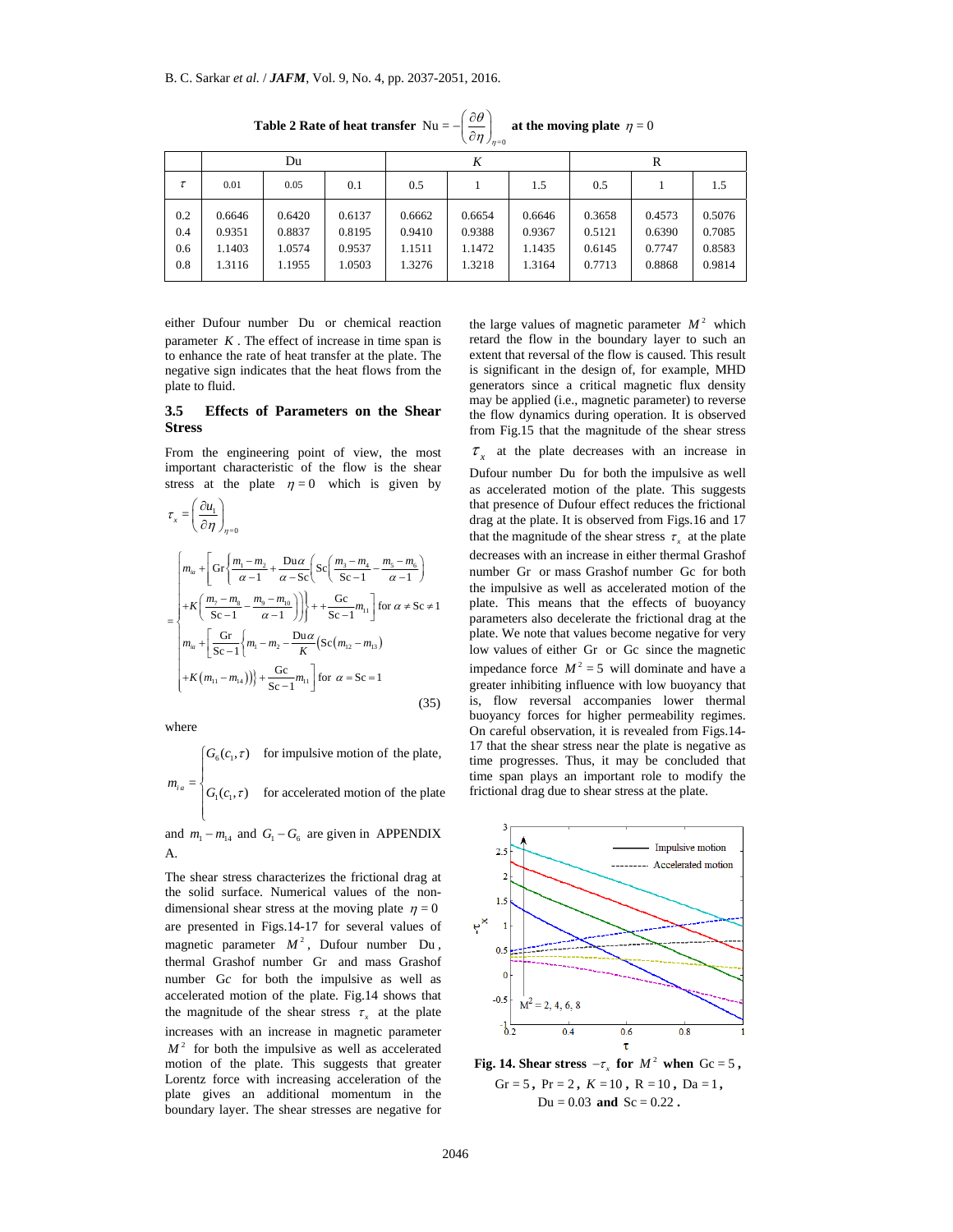|                          | $\sim$ $\prime$ $/$ $n=0$            |                                      |                                      |                                      |                                      |                                      |                                      |                                      |                                      |  |  |  |
|--------------------------|--------------------------------------|--------------------------------------|--------------------------------------|--------------------------------------|--------------------------------------|--------------------------------------|--------------------------------------|--------------------------------------|--------------------------------------|--|--|--|
|                          | Du                                   |                                      |                                      | K                                    |                                      |                                      | R                                    |                                      |                                      |  |  |  |
| τ                        | 0.01                                 | 0.05                                 | 0.1                                  | 0.5                                  |                                      | 1.5                                  | 0.5                                  |                                      | 1.5                                  |  |  |  |
| 0.2<br>0.4<br>0.6<br>0.8 | 0.6646<br>0.9351<br>1.1403<br>1.3116 | 0.6420<br>0.8837<br>1.0574<br>1.1955 | 0.6137<br>0.8195<br>0.9537<br>1.0503 | 0.6662<br>0.9410<br>1.1511<br>1.3276 | 0.6654<br>0.9388<br>1.1472<br>1.3218 | 0.6646<br>0.9367<br>1.1435<br>1.3164 | 0.3658<br>0.5121<br>0.6145<br>0.7713 | 0.4573<br>0.6390<br>0.7747<br>0.8868 | 0.5076<br>0.7085<br>0.8583<br>0.9814 |  |  |  |

**Table 2 Rate of heat transfer**  $Nu = -\int_{0}^{1} \frac{\partial \theta}{\partial x}$  $=0$  $\eta$ at the moving plate  $\eta = 0$ 

either Dufour number Du or chemical reaction parameter  $K$ . The effect of increase in time span is to enhance the rate of heat transfer at the plate. The negative sign indicates that the heat flows from the plate to fluid.

#### **3.5 Effects of Parameters on the Shear Stress**

From the engineering point of view, the most important characteristic of the flow is the shear stress at the plate  $\eta = 0$  which is given by

$$
\tau_{x} = \left(\frac{\partial u_{1}}{\partial \eta}\right)_{\eta=0}
$$
\n
$$
= \begin{cases}\n m_{ia} + \left[ G\tau \left\{ \frac{m_{1} - m_{2}}{\alpha - 1} + \frac{D u \alpha}{\alpha - 1} \left( Sc \left( \frac{m_{3} - m_{4}}{Sc - 1} - \frac{m_{5} - m_{6}}{\alpha - 1} \right) \right) \right\} + K \left( \frac{m_{7} - m_{8}}{Sc - 1} - \frac{m_{9} - m_{10}}{\alpha - 1} \right) \right) + \frac{Gc}{Sc - 1} m_{11} \left[ \text{for } \alpha \neq Sc \neq 1 \right. \\
 m_{ia} + \left[ \frac{G\tau}{Sc - 1} \left\{ m_{1} - m_{2} - \frac{D u \alpha}{K} \left( Sc \left( m_{12} - m_{13} \right) \right) \right. \\
 \left. + K \left( m_{11} - m_{14} \right) \right) \right\} + \frac{Gc}{Sc - 1} m_{11} \left[ \text{for } \alpha \neq Sc \right] \\
 \end{cases}
$$
\n
$$
(35)
$$

where

$$
m_{ia} = \begin{cases} G_6(c_1, \tau) & \text{for impulsive motion of the plate,} \\ G_1(c_1, \tau) & \text{for accelerated motion of the plate} \\ \text{and } m = m \text{ and } G = G \text{ are given in } \text{APPENDIX} \end{cases}
$$

and  $m_1 - m_{14}$  and  $G_1 - G_6$  are given in APPENDIX A.

The shear stress characterizes the frictional drag at the solid surface. Numerical values of the nondimensional shear stress at the moving plate  $\eta = 0$ are presented in Figs.14-17 for several values of magnetic parameter  $M^2$ , Dufour number Du, thermal Grashof number Gr and mass Grashof number G*c* for both the impulsive as well as accelerated motion of the plate. Fig.14 shows that the magnitude of the shear stress  $\tau<sub>r</sub>$  at the plate increases with an increase in magnetic parameter  $M<sup>2</sup>$  for both the impulsive as well as accelerated motion of the plate. This suggests that greater Lorentz force with increasing acceleration of the plate gives an additional momentum in the boundary layer. The shear stresses are negative for

the large values of magnetic parameter  $M^2$  which retard the flow in the boundary layer to such an extent that reversal of the flow is caused. This result is significant in the design of, for example, MHD generators since a critical magnetic flux density may be applied (i.e., magnetic parameter) to reverse the flow dynamics during operation. It is observed from Fig.15 that the magnitude of the shear stress  $\tau$ <sub>x</sub> at the plate decreases with an increase in

the rate of near transportant in the extent data contract the state. This extend the contract in the state of the state of **Parameters** on the **State of Parameters** on the **Sheet** of **Parameters** on the **Sheet** of **Parame** Dufour number Du for both the impulsive as well as accelerated motion of the plate. This suggests that presence of Dufour effect reduces the frictional drag at the plate. It is observed from Figs.16 and 17 that the magnitude of the shear stress  $\tau_x$  at the plate decreases with an increase in either thermal Grashof number Gr or mass Grashof number Gc for both the impulsive as well as accelerated motion of the plate. This means that the effects of buoyancy parameters also decelerate the frictional drag at the plate. We note that values become negative for very low values of either Gr or Gc since the magnetic impedance force  $M^2 = 5$  will dominate and have a greater inhibiting influence with low buoyancy that is, flow reversal accompanies lower thermal buoyancy forces for higher permeability regimes. On careful observation, it is revealed from Figs.14- 17 that the shear stress near the plate is negative as time progresses. Thus, it may be concluded that time span plays an important role to modify the frictional drag due to shear stress at the plate.



**Fig. 14. Shear stress**  $-\tau_x$  for  $M^2$  when  $Gc = 5$ , Gr = 5, Pr = 2,  $K = 10$ ,  $R = 10$ ,  $Da = 1$ ,  $Du = 0.03$  and  $Sc = 0.22$ .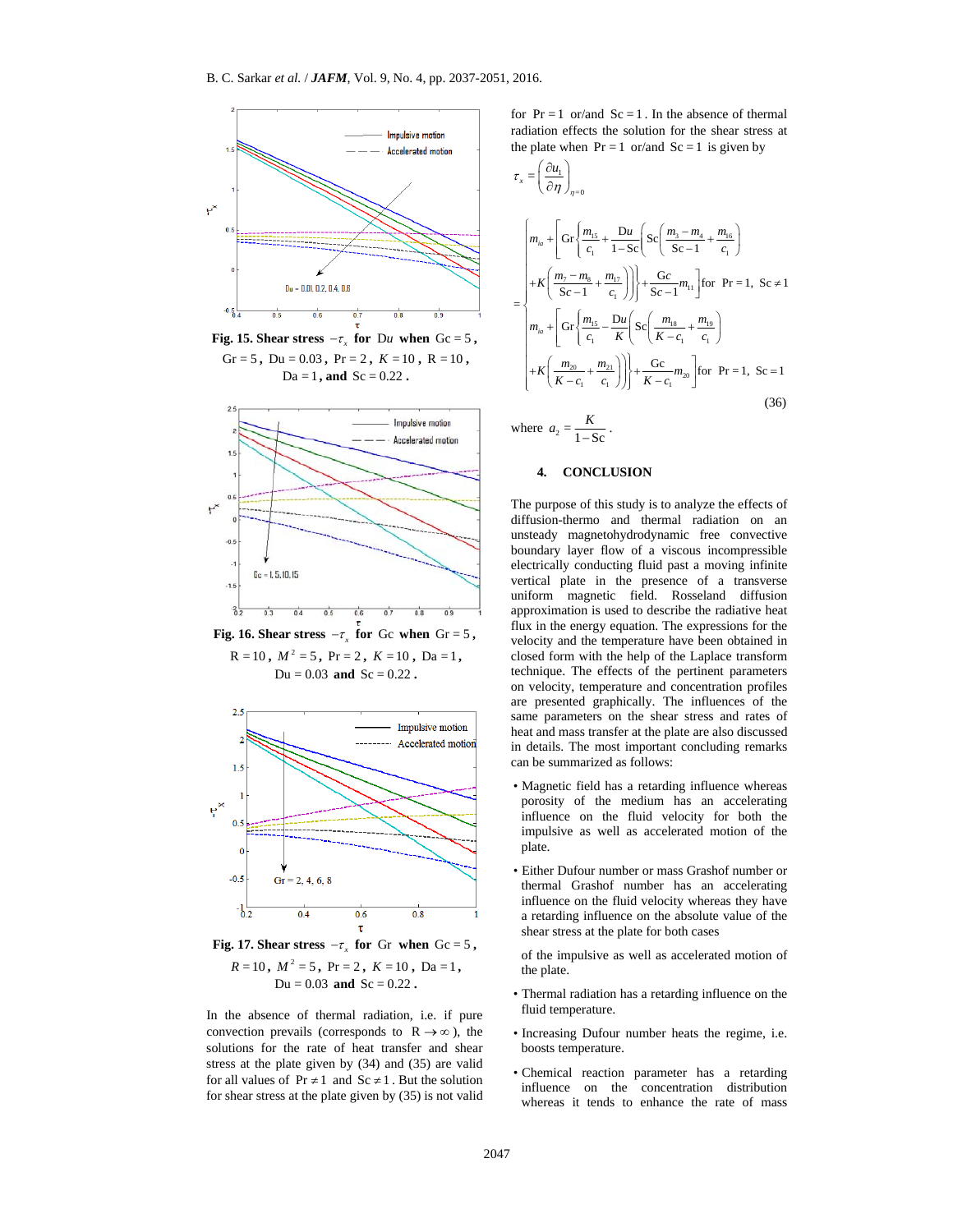

 **Fig. 15. Shear stress**  $-\tau_{\rm r}$  for Du when Gc = 5, Gr = 5, Du =  $0.03$ , Pr =  $2$ ,  $K = 10$ , R =  $10$ ,  $Da = 1$ , and  $Sc = 0.22$ .



**Fig. 17. Shear stress**  $-\tau$  **for Gr when**  $\text{Gc} = 5$ **,**  $R = 10$ ,  $M^2 = 5$ ,  $Pr = 2$ ,  $K = 10$ ,  $Da = 1$ ,  $Du = 0.03$  and  $Sc = 0.22$ .

In the absence of thermal radiation, i.e. if pure convection prevails (corresponds to  $R \rightarrow \infty$ ), the solutions for the rate of heat transfer and shear stress at the plate given by (34) and (35) are valid for all values of  $Pr \neq 1$  and  $Sc \neq 1$ . But the solution for shear stress at the plate given by (35) is not valid for  $Pr = 1$  or/and  $Sc = 1$ . In the absence of thermal radiation effects the solution for the shear stress at the plate when  $Pr = 1$  or/and  $Sc = 1$  is given by

$$
\tau_{x} = \left(\frac{\partial u_{1}}{\partial \eta}\right)_{\eta=0}
$$
\n
$$
= \begin{cases}\n m_{ia} + \left[ G\Gamma\left\{\frac{m_{15}}{c_{1}} + \frac{Du}{1-Sc} \right\} Sc\left(\frac{m_{3} - m_{4}}{Sc - 1} + \frac{m_{16}}{c_{1}}\right) \right. \\
 \left. + K\left(\frac{m_{7} - m_{8}}{Sc - 1} + \frac{m_{17}}{c_{1}}\right) \right] \left. + \frac{Gc}{Sc - 1} m_{11} \right] \text{for } Pr = 1, Sc \neq 1 \\
 m_{ia} + \left[ G\Gamma\left\{\frac{m_{15}}{c_{1}} - \frac{Du}{K} \right\} Sc\left(\frac{m_{18}}{K - c_{1}} + \frac{m_{19}}{c_{1}}\right) \right. \\
 \left. + K\left(\frac{m_{20}}{K - c_{1}} + \frac{m_{21}}{c_{1}}\right) \right) \left. + \frac{Gc}{C_{1}} m_{20} \right. \\
 \text{where } a_{2} = \frac{K}{1-Sc}.\n \end{cases}
$$
\n
$$
4. \quad \text{CONCLISION} \tag{36}
$$

The purpose of this study is to analyze the effects of diffusion-thermo and thermal radiation on an unsteady magnetohydrodynamic free convective boundary layer flow of a viscous incompressible electrically conducting fluid past a moving infinite vertical plate in the presence of a transverse uniform magnetic field. Rosseland diffusion approximation is used to describe the radiative heat flux in the energy equation. The expressions for the velocity and the temperature have been obtained in closed form with the help of the Laplace transform technique. The effects of the pertinent parameters on velocity, temperature and concentration profiles are presented graphically. The influences of the same parameters on the shear stress and rates of heat and mass transfer at the plate are also discussed in details. The most important concluding remarks can be summarized as follows:

- Magnetic field has a retarding influence whereas porosity of the medium has an accelerating influence on the fluid velocity for both the impulsive as well as accelerated motion of the plate.
- Either Dufour number or mass Grashof number or thermal Grashof number has an accelerating influence on the fluid velocity whereas they have a retarding influence on the absolute value of the shear stress at the plate for both cases

of the impulsive as well as accelerated motion of the plate.

- Thermal radiation has a retarding influence on the fluid temperature.
- Increasing Dufour number heats the regime, i.e. boosts temperature.
- Chemical reaction parameter has a retarding influence on the concentration distribution whereas it tends to enhance the rate of mass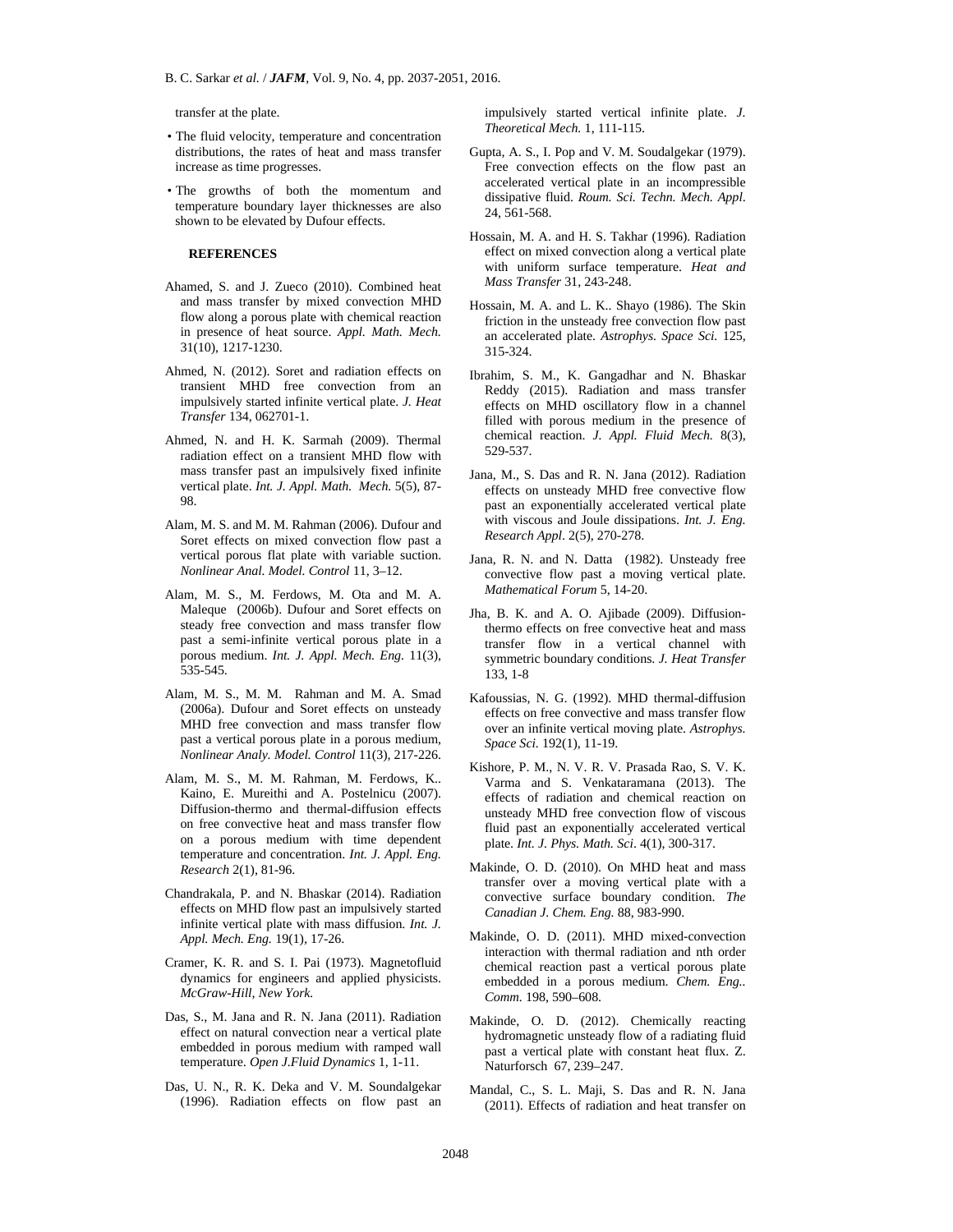transfer at the plate.

- The fluid velocity, temperature and concentration distributions, the rates of heat and mass transfer increase as time progresses.
- The growths of both the momentum and temperature boundary layer thicknesses are also shown to be elevated by Dufour effects.

#### **REFERENCES**

- Ahamed, S. and J. Zueco (2010). Combined heat and mass transfer by mixed convection MHD flow along a porous plate with chemical reaction in presence of heat source. *Appl. Math. Mech.* 31(10), 1217-1230.
- Ahmed, N. (2012). Soret and radiation effects on transient MHD free convection from an impulsively started infinite vertical plate. *J. Heat Transfer* 134, 062701-1.
- Ahmed, N. and H. K. Sarmah (2009). Thermal radiation effect on a transient MHD flow with mass transfer past an impulsively fixed infinite vertical plate. *Int. J. Appl. Math. Mech.* 5(5), 87- 98.
- Alam, M. S. and M. M. Rahman (2006). Dufour and Soret effects on mixed convection flow past a vertical porous flat plate with variable suction. *Nonlinear Anal. Model. Control* 11, 3–12.
- Alam, M. S., M. Ferdows, M. Ota and M. A. Maleque (2006b). Dufour and Soret effects on steady free convection and mass transfer flow past a semi-infinite vertical porous plate in a porous medium. *Int. J. Appl. Mech. Eng.* 11(3), 535-545.
- Alam, M. S., M. M. Rahman and M. A. Smad (2006a). Dufour and Soret effects on unsteady MHD free convection and mass transfer flow past a vertical porous plate in a porous medium, *Nonlinear Analy. Model. Control* 11(3), 217-226.
- Alam, M. S., M. M. Rahman, M. Ferdows, K.. Kaino, E. Mureithi and A. Postelnicu (2007). Diffusion-thermo and thermal-diffusion effects on free convective heat and mass transfer flow on a porous medium with time dependent temperature and concentration. *Int. J. Appl. Eng. Research* 2(1), 81-96.
- Chandrakala, P. and N. Bhaskar (2014). Radiation effects on MHD flow past an impulsively started infinite vertical plate with mass diffusion. *Int. J. Appl. Mech. Eng.* 19(1), 17-26.
- Cramer, K. R. and S. I. Pai (1973). Magnetofluid dynamics for engineers and applied physicists. *McGraw-Hill, New York.*
- Das, S., M. Jana and R. N. Jana (2011). Radiation effect on natural convection near a vertical plate embedded in porous medium with ramped wall temperature. *Open J.Fluid Dynamics* 1, 1-11.
- Das, U. N., R. K. Deka and V. M. Soundalgekar (1996). Radiation effects on flow past an

impulsively started vertical infinite plate. *J. Theoretical Mech.* 1, 111-115.

- Gupta, A. S., I. Pop and V. M. Soudalgekar (1979). Free convection effects on the flow past an accelerated vertical plate in an incompressible dissipative fluid. *Roum. Sci. Techn. Mech. Appl*. 24, 561-568.
- Hossain, M. A. and H. S. Takhar (1996). Radiation effect on mixed convection along a vertical plate with uniform surface temperature. *Heat and Mass Transfer* 31, 243-248.
- Hossain, M. A. and L. K.. Shayo (1986). The Skin friction in the unsteady free convection flow past an accelerated plate. *Astrophys. Space Sci.* 125, 315-324.
- Ibrahim, S. M., K. Gangadhar and N. Bhaskar Reddy (2015). Radiation and mass transfer effects on MHD oscillatory flow in a channel filled with porous medium in the presence of chemical reaction. *J. Appl. Fluid Mech.* 8(3), 529-537.
- Jana, M., S. Das and R. N. Jana (2012). Radiation effects on unsteady MHD free convective flow past an exponentially accelerated vertical plate with viscous and Joule dissipations. *Int. J. Eng. Research Appl*. 2(5), 270-278.
- Jana, R. N. and N. Datta (1982). Unsteady free convective flow past a moving vertical plate. *Mathematical Forum* 5, 14-20.
- Jha, B.  $\overline{K}$ . and A. O. Ajibade (2009). Diffusionthermo effects on free convective heat and mass transfer flow in a vertical channel with symmetric boundary conditions. *J. Heat Transfer* 133, 1-8
- Kafoussias, N. G. (1992). MHD thermal-diffusion effects on free convective and mass transfer flow over an infinite vertical moving plate. *Astrophys. Space Sci.* 192(1), 11-19.
- CO12). Sovet and radiation effects on  $Bn_{\text{rel}}$  (2015). Radiation  $\mu$  HHz<br>
evely started infinite vertical plate. *I. Heat*<br>
effects on MHD occultation and mass transmit (2001). The convertion and mass than<br>
effects on Kishore, P. M., N. V. R. V. Prasada Rao, S. V. K. Varma and S. Venkataramana (2013). The effects of radiation and chemical reaction on unsteady MHD free convection flow of viscous fluid past an exponentially accelerated vertical plate. *Int. J. Phys. Math. Sci*. 4(1), 300-317.
	- Makinde, O. D. (2010). On MHD heat and mass transfer over a moving vertical plate with a convective surface boundary condition. *The Canadian J. Chem. Eng.* 88, 983-990.
	- Makinde, O. D. (2011). MHD mixed-convection interaction with thermal radiation and nth order chemical reaction past a vertical porous plate embedded in a porous medium. *Chem. Eng.. Comm.* 198, 590–608.
	- Makinde, O. D. (2012). Chemically reacting hydromagnetic unsteady flow of a radiating fluid past a vertical plate with constant heat flux. Z. Naturforsch 67, 239–247.
	- Mandal, C., S. L. Maji, S. Das and R. N. Jana (2011). Effects of radiation and heat transfer on

2048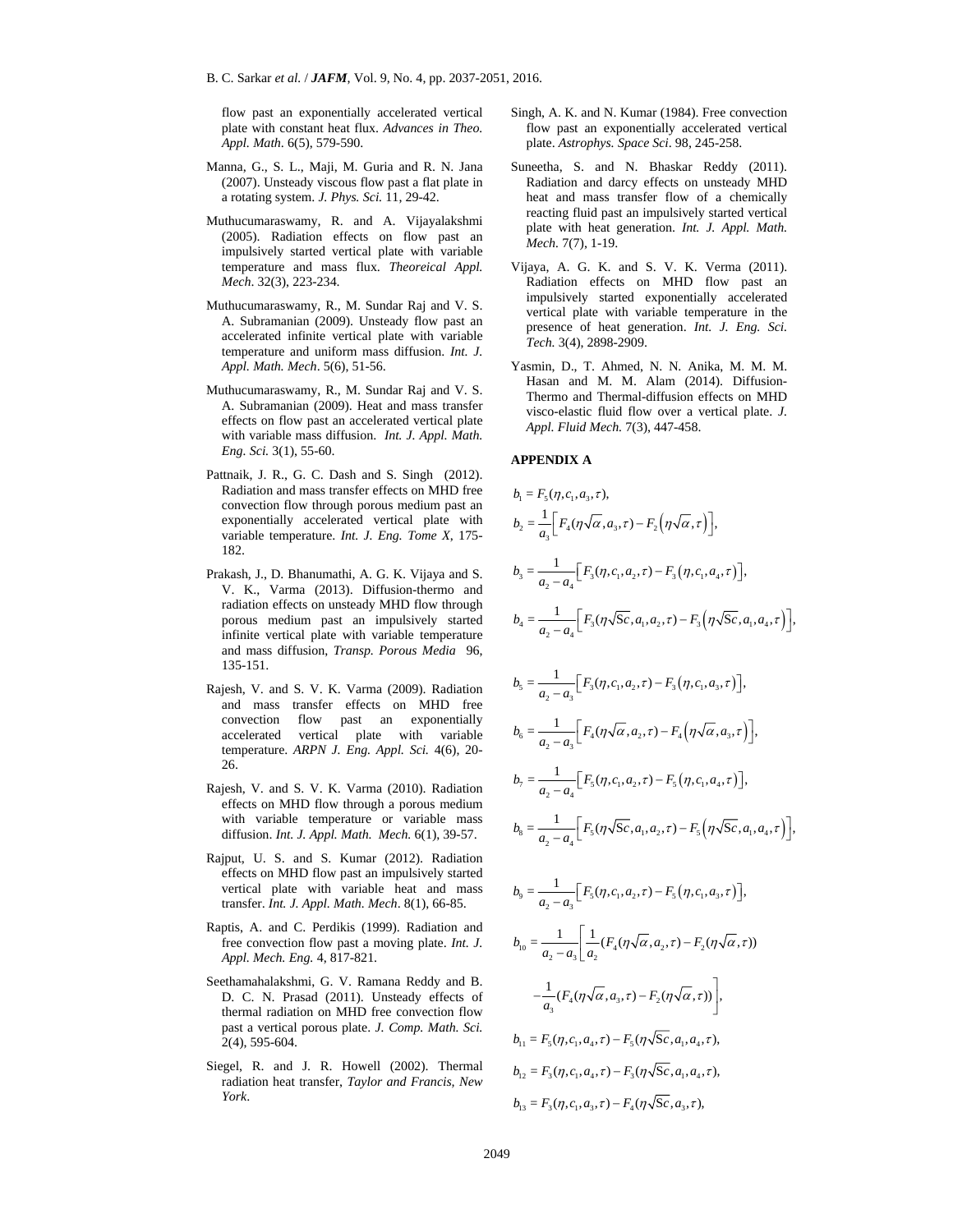B. C. Sarkar *et al.* / *JAFM*, Vol. 9, No. 4, pp. 2037-2051, 2016.

flow past an exponentially accelerated vertical plate with constant heat flux. *Advances in Theo. Appl. Math*. 6(5), 579-590.

- Manna, G., S. L., Maji, M. Guria and R. N. Jana (2007). Unsteady viscous flow past a flat plate in a rotating system. *J. Phys. Sci.* 11, 29-42.
- Muthucumaraswamy, R. and A. Vijayalakshmi (2005). Radiation effects on flow past an impulsively started vertical plate with variable temperature and mass flux. *Theoreical Appl. Mech*. 32(3), 223-234.
- Muthucumaraswamy, R., M. Sundar Raj and V. S. A. Subramanian (2009). Unsteady flow past an accelerated infinite vertical plate with variable temperature and uniform mass diffusion. *Int. J. Appl. Math. Mech*. 5(6), 51-56.
- Muthucumaraswamy, R., M. Sundar Raj and V. S. A. Subramanian (2009). Heat and mass transfer effects on flow past an accelerated vertical plate with variable mass diffusion. *Int. J. Appl. Math. Eng. Sci.* 3(1), 55-60.
- Pattnaik, J. R., G. C. Dash and S. Singh (2012). Radiation and mass transfer effects on MHD free convection flow through porous medium past an exponentially accelerated vertical plate with variable temperature. *Int. J. Eng. Tome X*, 175- 182.
- Prakash, J., D. Bhanumathi, A. G. K. Vijaya and S. V. K., Varma (2013). Diffusion-thermo and radiation effects on unsteady MHD flow through porous medium past an impulsively started infinite vertical plate with variable temperature and mass diffusion, *Transp. Porous Media* 135-151.
- Rajesh, V. and S. V. K. Varma (2009). Radiation and mass transfer effects on MHD free convection flow past an exponentially accelerated vertical plate with variable temperature. *ARPN J. Eng. Appl. Sci.* 4(6), 20- 26.
- Rajesh, V. and S. V. K. Varma (2010). Radiation effects on MHD flow through a porous medium with variable temperature or variable mass diffusion. *Int. J. Appl. Math. Mech.* 6(1), 39-57.
- Rajput, U. S. and S. Kumar (2012). Radiation effects on MHD flow past an impulsively started vertical plate with variable heat and mass transfer. *Int. J. Appl. Math. Mech*. 8(1), 66-85.
- Raptis, A. and C. Perdikis (1999). Radiation and free convection flow past a moving plate. *Int. J. Appl. Mech. Eng.* 4, 817-821.
- Seethamahalakshmi, G. V. Ramana Reddy and B. D. C. N. Prasad (2011). Unsteady effects of thermal radiation on MHD free convection flow past a vertical porous plate. *J. Comp. Math. Sci.* 2(4), 595-604.
- Siegel, R. and J. R. Howell (2002). Thermal radiation heat transfer, *Taylor and Francis, New York*.
- Singh, A. K. and N. Kumar (1984). Free convection flow past an exponentially accelerated vertical plate. *Astrophys. Space Sci*. 98, 245-258.
- Suneetha, S. and N. Bhaskar Reddy (2011). Radiation and darcy effects on unsteady MHD heat and mass transfer flow of a chemically reacting fluid past an impulsively started vertical plate with heat generation. *Int. J. Appl. Math. Mech.* 7(7), 1-19.
- Vijaya, A. G. K. and S. V. K. Verma (2011). Radiation effects on MHD flow past an impulsively started exponentially accelerated vertical plate with variable temperature in the presence of heat generation. *Int. J. Eng. Sci. Tech.* 3(4), 2898-2909.
- Yasmin, D., T. Ahmed, N. N. Anika, M. M. M. Hasan and M. M. Alam (2014). Diffusion-Thermo and Thermal-diffusion effects on MHD visco-elastic fluid flow over a vertical plate. *J. Appl. Fluid Mech.* 7(3), 447-458.

Arhive of SID **APPENDIX A**  *b F ca* 1 5 13 = ( , , , ), 2 4 32 3 <sup>1</sup> *b F aF* = ( , ,) , , *<sup>a</sup>* 3 3 12 3 14 2 4 <sup>1</sup> *b F ca F ca* = (, , ,) , , , , *a a* 4 3 12 3 14 2 4 <sup>1</sup> *b F ca a F ca a* = ( S, , ,) S, , , , *a a* 5 3 12 3 13 2 3 <sup>1</sup> *b F ca F ca* = (, , ,) , , , , *a a* 6 4 24 3 2 3 <sup>1</sup> *b F aF a* = ( , ,) , , , *a a* 7 5 12 5 14 2 4 <sup>1</sup> *b F ca F ca* = (, , ,) , , , , *a a* 8 5 12 5 14 2 4 <sup>1</sup> *b F ca a F ca a* = ( S, , ,) S, , , , *a a* 9 5 12 5 13 2 3 <sup>1</sup> *b F ca F ca* = (, , ,) , , , , *a a* 10 4 2 2 2 32 1 1 *b F aF* = ( ( , , ) ( , )) *a aa* 4 32 3 <sup>1</sup> ( ( , , ) ( , )) , *F aF <sup>a</sup> b F c a F ca a* 11 5 1 4 5 1 4 = ( , , , ) ( S , , , ), *b F c a F ca a* 12 3 1 4 3 1 4 = ( , , , ) ( S , , , ), *b F c a F ca* 13 3 1 3 4 3 = ( , , , ) ( S , , ),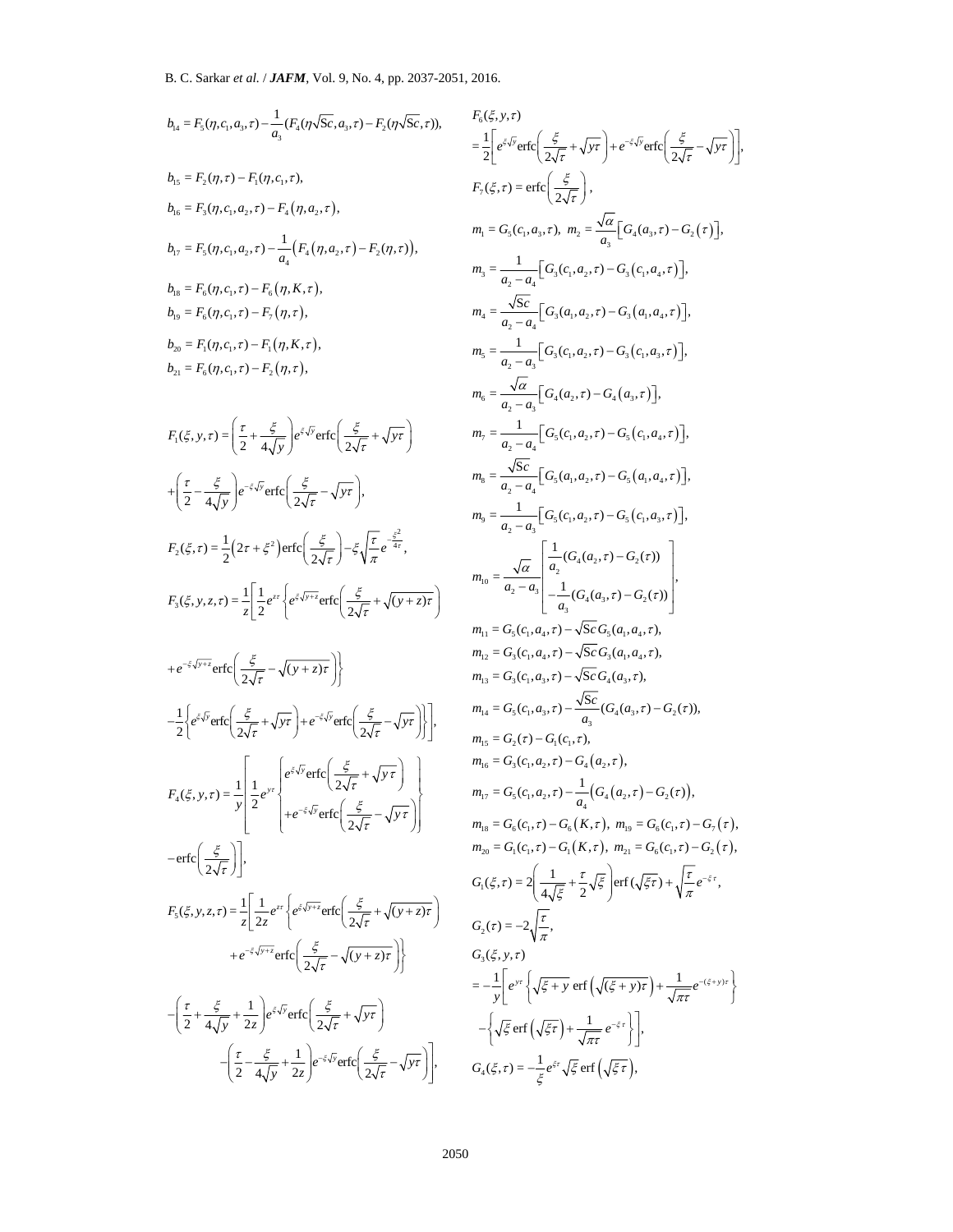$$
b_{4} = F_{5}(n,c_{1},a_{3},r) - \frac{1}{a_{5}}(F_{5}(n),F_{6},r) - F_{6}(n),F_{6},F_{7}(n),
$$
\n
$$
b_{7}(s,0) = F_{5}(n,c_{1},a_{2},r) - F_{4}(n,a_{3},r),
$$
\n
$$
b_{8} = F_{5}(n,c_{1},a_{2},r) - F_{4}(n,a_{3},r),
$$
\n
$$
b_{9} = F_{9}(n,c_{1},a_{2},r) - F_{4}(n,a_{3},r),
$$
\n
$$
b_{1} = F_{9}(n,c_{1},a_{2},r) - \frac{1}{a_{4}}(F_{4}(n,a_{3},r) - F_{2}(n,r)),
$$
\n
$$
b_{1} = F_{9}(n,c_{1},a_{2},r) - F_{8}(n,k,r),
$$
\n
$$
b_{1} = F_{9}(n,c_{1},c_{1}) - F_{9}(n,k,r),
$$
\n
$$
b_{1} = F_{9}(n,c_{1},c_{1}) - F_{9}(n,k,r),
$$
\n
$$
b_{1} = F_{9}(n,c_{1},c_{1}) - F_{9}(n,k,r),
$$
\n
$$
b_{1} = F_{9}(n,c_{1},c_{1}) - F_{9}(n,k,r),
$$
\n
$$
b_{1} = F_{9}(n,c_{1},c_{1}) - F_{9}(n,k,r),
$$
\n
$$
b_{1} = F_{9}(n,c_{1},c_{1}) - F_{9}(n,k,r),
$$
\n
$$
b_{1} = F_{9}(n,c_{1},c_{1}) - F_{9}(n,k,r),
$$
\n
$$
b_{1} = F_{9}(n,c_{1},c_{1}) - F_{9}(n,k,r),
$$
\n
$$
b_{1} = F_{9}(n,c_{1},c_{1}) - F_{9}(n,k,r),
$$
\n
$$
b_{1} = F_{9}(n,c_{1},c_{1}) - F_{9}(n,k,r),
$$
\n
$$
b_{1} = F_{9}(n,c_{1},c_{1}) - F_{9}(n,k,r),
$$
\n
$$
b_{1} = F_{9}(n,c_{1},c_{1}) - F_{9}(n,k,r),
$$
\n
$$
b_{1} = F_{9}(n,c_{1},c_{
$$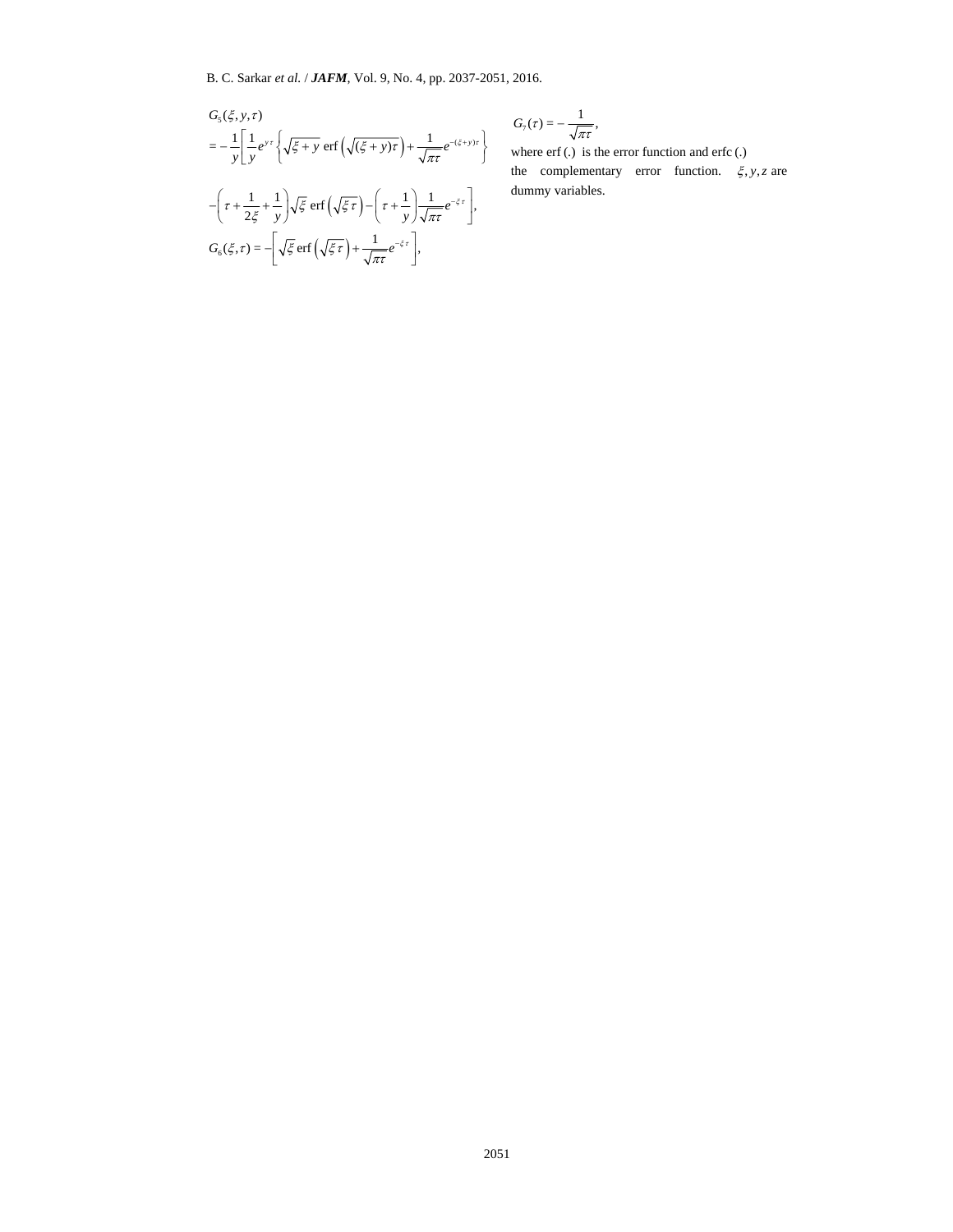$$
G_{5}(\xi, y, \tau)
$$
\n
$$
= -\frac{1}{y} \left[ \frac{1}{y} e^{y \tau} \left\{ \sqrt{\xi + y} \operatorname{erf} \left( \sqrt{(\xi + y) \tau} \right) + \frac{1}{\sqrt{\pi \tau}} e^{-(\xi + y) \tau} \right\} \right]
$$
\n
$$
- \left( \tau + \frac{1}{2\xi} + \frac{1}{y} \right) \sqrt{\xi} \operatorname{erf} \left( \sqrt{\xi \tau} \right) - \left( \tau + \frac{1}{y} \right) \frac{1}{\sqrt{\pi \tau}} e^{-\xi \tau} \right],
$$
\n
$$
G_{6}(\xi, \tau) = - \left[ \sqrt{\xi} \operatorname{erf} \left( \sqrt{\xi \tau} \right) + \frac{1}{\sqrt{\pi \tau}} e^{-\xi \tau} \right],
$$

$$
G_7(\tau) = -\frac{1}{\sqrt{\pi \tau}},
$$

where erf (.) is the error function and erfc (.) the complementary error function.  $\xi$ , *y*, *z* are dummy variables.

$$
k^2
$$